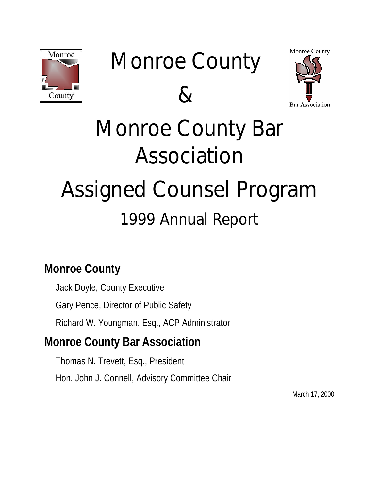

# Monroe County





# Monroe County Bar Association Assigned Counsel Program 1999 Annual Report

## **Monroe County**

Jack Doyle, County Executive Gary Pence, Director of Public Safety Richard W. Youngman, Esq., ACP Administrator

## **Monroe County Bar Association**

Thomas N. Trevett, Esq., President Hon. John J. Connell, Advisory Committee Chair

March 17, 2000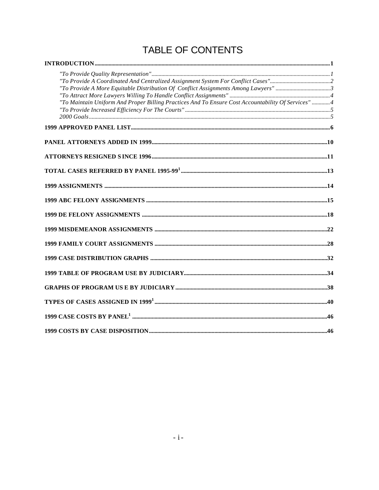#### TABLE OF CONTENTS

| "To Maintain Uniform And Proper Billing Practices And To Ensure Cost Accountability Of Services" 4 |  |
|----------------------------------------------------------------------------------------------------|--|
|                                                                                                    |  |
|                                                                                                    |  |
|                                                                                                    |  |
|                                                                                                    |  |
|                                                                                                    |  |
|                                                                                                    |  |
|                                                                                                    |  |
|                                                                                                    |  |
|                                                                                                    |  |
|                                                                                                    |  |
|                                                                                                    |  |
|                                                                                                    |  |
|                                                                                                    |  |
|                                                                                                    |  |
|                                                                                                    |  |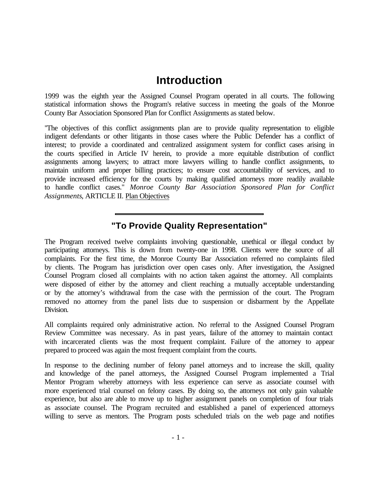#### **Introduction**

1999 was the eighth year the Assigned Counsel Program operated in all courts. The following statistical information shows the Program's relative success in meeting the goals of the Monroe County Bar Association Sponsored Plan for Conflict Assignments as stated below.

"The objectives of this conflict assignments plan are to provide quality representation to eligible indigent defendants or other litigants in those cases where the Public Defender has a conflict of interest; to provide a coordinated and centralized assignment system for conflict cases arising in the courts specified in Article IV herein, to provide a more equitable distribution of conflict assignments among lawyers; to attract more lawyers willing to handle conflict assignments, to maintain uniform and proper billing practices; to ensure cost accountability of services, and to provide increased efficiency for the courts by making qualified attorneys more readily available to handle conflict cases." *Monroe County Bar Association Sponsored Plan for Conflict Assignments*, ARTICLE II. Plan Objectives

#### **"To Provide Quality Representation"**

The Program received twelve complaints involving questionable, unethical or illegal conduct by participating attorneys. This is down from twenty-one in 1998. Clients were the source of all complaints. For the first time, the Monroe County Bar Association referred no complaints filed by clients. The Program has jurisdiction over open cases only. After investigation, the Assigned Counsel Program closed all complaints with no action taken against the attorney. All complaints were disposed of either by the attorney and client reaching a mutually acceptable understanding or by the attorney's withdrawal from the case with the permission of the court. The Program removed no attorney from the panel lists due to suspension or disbarment by the Appellate Division.

All complaints required only administrative action. No referral to the Assigned Counsel Program Review Committee was necessary. As in past years, failure of the attorney to maintain contact with incarcerated clients was the most frequent complaint. Failure of the attorney to appear prepared to proceed was again the most frequent complaint from the courts.

In response to the declining number of felony panel attorneys and to increase the skill, quality and knowledge of the panel attorneys, the Assigned Counsel Program implemented a Trial Mentor Program whereby attorneys with less experience can serve as associate counsel with more experienced trial counsel on felony cases. By doing so, the attorneys not only gain valuable experience, but also are able to move up to higher assignment panels on completion of four trials as associate counsel. The Program recruited and established a panel of experienced attorneys willing to serve as mentors. The Program posts scheduled trials on the web page and notifies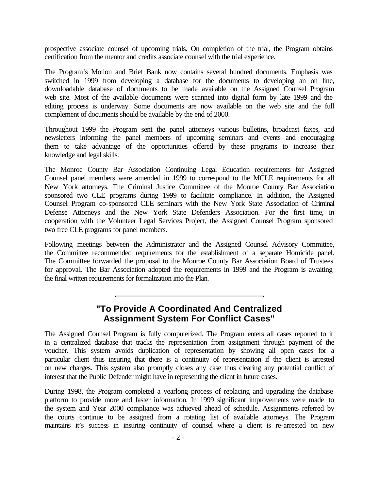prospective associate counsel of upcoming trials. On completion of the trial, the Program obtains certification from the mentor and credits associate counsel with the trial experience.

The Program's Motion and Brief Bank now contains several hundred documents. Emphasis was switched in 1999 from developing a database for the documents to developing an on line, downloadable database of documents to be made available on the Assigned Counsel Program web site. Most of the available documents were scanned into digital form by late 1999 and the editing process is underway. Some documents are now available on the web site and the full complement of documents should be available by the end of 2000.

Throughout 1999 the Program sent the panel attorneys various bulletins, broadcast faxes, and newsletters informing the panel members of upcoming seminars and events and encouraging them to take advantage of the opportunities offered by these programs to increase their knowledge and legal skills.

The Monroe County Bar Association Continuing Legal Education requirements for Assigned Counsel panel members were amended in 1999 to correspond to the MCLE requirements for all New York attorneys. The Criminal Justice Committee of the Monroe County Bar Association sponsored two CLE programs during 1999 to facilitate compliance. In addition, the Assigned Counsel Program co-sponsored CLE seminars with the New York State Association of Criminal Defense Attorneys and the New York State Defenders Association. For the first time, in cooperation with the Volunteer Legal Services Project, the Assigned Counsel Program sponsored two free CLE programs for panel members.

Following meetings between the Administrator and the Assigned Counsel Advisory Committee, the Committee recommended requirements for the establishment of a separate Homicide panel. The Committee forwarded the proposal to the Monroe County Bar Association Board of Trustees for approval. The Bar Association adopted the requirements in 1999 and the Program is awaiting the final written requirements for formalization into the Plan.

#### **"To Provide A Coordinated And Centralized Assignment System For Conflict Cases"**

The Assigned Counsel Program is fully computerized. The Program enters all cases reported to it in a centralized database that tracks the representation from assignment through payment of the voucher. This system avoids duplication of representation by showing all open cases for a particular client thus insuring that there is a continuity of representation if the client is arrested on new charges. This system also promptly closes any case thus clearing any potential conflict of interest that the Public Defender might have in representing the client in future cases.

During 1998, the Program completed a yearlong process of replacing and upgrading the database platform to provide more and faster information. In 1999 significant improvements were made to the system and Year 2000 compliance was achieved ahead of schedule. Assignments referred by the courts continue to be assigned from a rotating list of available attorneys. The Program maintains it's success in insuring continuity of counsel where a client is re-arrested on new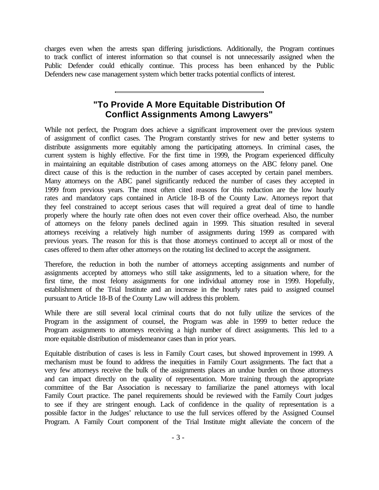charges even when the arrests span differing jurisdictions. Additionally, the Program continues to track conflict of interest information so that counsel is not unnecessarily assigned when the Public Defender could ethically continue. This process has been enhanced by the Public Defenders new case management system which better tracks potential conflicts of interest.

#### **"To Provide A More Equitable Distribution Of Conflict Assignments Among Lawyers"**

While not perfect, the Program does achieve a significant improvement over the previous system of assignment of conflict cases. The Program constantly strives for new and better systems to distribute assignments more equitably among the participating attorneys. In criminal cases, the current system is highly effective. For the first time in 1999, the Program experienced difficulty in maintaining an equitable distribution of cases among attorneys on the ABC felony panel. One direct cause of this is the reduction in the number of cases accepted by certain panel members. Many attorneys on the ABC panel significantly reduced the number of cases they accepted in 1999 from previous years. The most often cited reasons for this reduction are the low hourly rates and mandatory caps contained in Article 18-B of the County Law. Attorneys report that they feel constrained to accept serious cases that will required a great deal of time to handle properly where the hourly rate often does not even cover their office overhead. Also, the number of attorneys on the felony panels declined again in 1999. This situation resulted in several attorneys receiving a relatively high number of assignments during 1999 as compared with previous years. The reason for this is that those attorneys continued to accept all or most of the cases offered to them after other attorneys on the rotating list declined to accept the assignment.

Therefore, the reduction in both the number of attorneys accepting assignments and number of assignments accepted by attorneys who still take assignments, led to a situation where, for the first time, the most felony assignments for one individual attorney rose in 1999. Hopefully, establishment of the Trial Institute and an increase in the hourly rates paid to assigned counsel pursuant to Article 18-B of the County Law will address this problem.

While there are still several local criminal courts that do not fully utilize the services of the Program in the assignment of counsel, the Program was able in 1999 to better reduce the Program assignments to attorneys receiving a high number of direct assignments. This led to a more equitable distribution of misdemeanor cases than in prior years.

Equitable distribution of cases is less in Family Court cases, but showed improvement in 1999. A mechanism must be found to address the inequities in Family Court assignments. The fact that a very few attorneys receive the bulk of the assignments places an undue burden on those attorneys and can impact directly on the quality of representation. More training through the appropriate committee of the Bar Association is necessary to familiarize the panel attorneys with local Family Court practice. The panel requirements should be reviewed with the Family Court judges to see if they are stringent enough. Lack of confidence in the quality of representation is a possible factor in the Judges' reluctance to use the full services offered by the Assigned Counsel Program. A Family Court component of the Trial Institute might alleviate the concern of the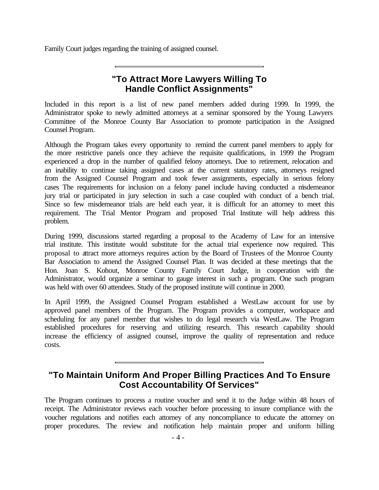Family Court judges regarding the training of assigned counsel.

#### **"To Attract More Lawyers Willing To Handle Conflict Assignments"**

Included in this report is a list of new panel members added during 1999. In 1999, the Administrator spoke to newly admitted attorneys at a seminar sponsored by the Young Lawyers Committee of the Monroe County Bar Association to promote participation in the Assigned Counsel Program.

Although the Program takes every opportunity to remind the current panel members to apply for the more restrictive panels once they achieve the requisite qualifications, in 1999 the Program experienced a drop in the number of qualified felony attorneys. Due to retirement, relocation and an inability to continue taking assigned cases at the current statutory rates, attorneys resigned from the Assigned Counsel Program and took fewer assignments, especially in serious felony cases The requirements for inclusion on a felony panel include having conducted a misdemeanor jury trial or participated in jury selection in such a case coupled with conduct of a bench trial. Since so few misdemeanor trials are held each year, it is difficult for an attorney to meet this requirement. The Trial Mentor Program and proposed Trial Institute will help address this problem.

During 1999, discussions started regarding a proposal to the Academy of Law for an intensive trial institute. This institute would substitute for the actual trial experience now required. This proposal to attract more attorneys requires action by the Board of Trustees of the Monroe County Bar Association to amend the Assigned Counsel Plan. It was decided at these meetings that the Hon. Joan S. Kohout, Monroe County Family Court Judge, in cooperation with the Administrator, would organize a seminar to gauge interest in such a program. One such program was held with over 60 attendees. Study of the proposed institute will continue in 2000.

In April 1999, the Assigned Counsel Program established a WestLaw account for use by approved panel members of the Program. The Program provides a computer, workspace and scheduling for any panel member that wishes to do legal research via WestLaw. The Program established procedures for reserving and utilizing research. This research capability should increase the efficiency of assigned counsel, improve the quality of representation and reduce costs.

#### **"To Maintain Uniform And Proper Billing Practices And To Ensure Cost Accountability Of Services"**

The Program continues to process a routine voucher and send it to the Judge within 48 hours of receipt. The Administrator reviews each voucher before processing to insure compliance with the voucher regulations and notifies each attorney of any noncompliance to educate the attorney on proper procedures. The review and notification help maintain proper and uniform billing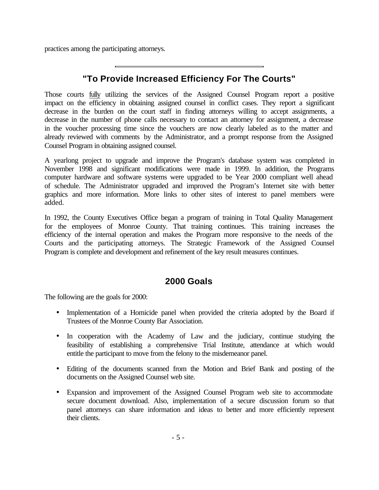practices among the participating attorneys.

#### **"To Provide Increased Efficiency For The Courts"**

Those courts fully utilizing the services of the Assigned Counsel Program report a positive impact on the efficiency in obtaining assigned counsel in conflict cases. They report a significant decrease in the burden on the court staff in finding attorneys willing to accept assignments, a decrease in the number of phone calls necessary to contact an attorney for assignment, a decrease in the voucher processing time since the vouchers are now clearly labeled as to the matter and already reviewed with comments by the Administrator, and a prompt response from the Assigned Counsel Program in obtaining assigned counsel.

A yearlong project to upgrade and improve the Program's database system was completed in November 1998 and significant modifications were made in 1999. In addition, the Programs computer hardware and software systems were upgraded to be Year 2000 compliant well ahead of schedule. The Administrator upgraded and improved the Program's Internet site with better graphics and more information. More links to other sites of interest to panel members were added.

In 1992, the County Executives Office began a program of training in Total Quality Management for the employees of Monroe County. That training continues. This training increases the efficiency of the internal operation and makes the Program more responsive to the needs of the Courts and the participating attorneys. The Strategic Framework of the Assigned Counsel Program is complete and development and refinement of the key result measures continues.

#### **2000 Goals**

The following are the goals for 2000:

- Implementation of a Homicide panel when provided the criteria adopted by the Board if Trustees of the Monroe County Bar Association.
- In cooperation with the Academy of Law and the judiciary, continue studying the feasibility of establishing a comprehensive Trial Institute, attendance at which would entitle the participant to move from the felony to the misdemeanor panel.
- Editing of the documents scanned from the Motion and Brief Bank and posting of the documents on the Assigned Counsel web site.
- Expansion and improvement of the Assigned Counsel Program web site to accommodate secure document download. Also, implementation of a secure discussion forum so that panel attorneys can share information and ideas to better and more efficiently represent their clients.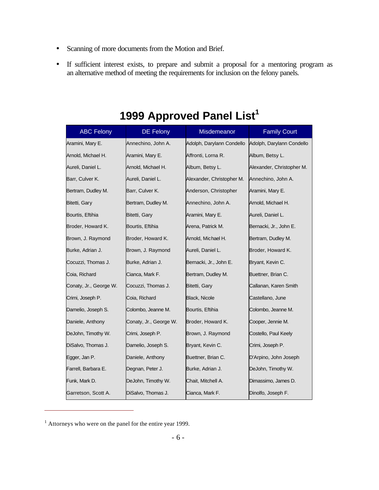- Scanning of more documents from the Motion and Brief.
- If sufficient interest exists, to prepare and submit a proposal for a mentoring program as an alternative method of meeting the requirements for inclusion on the felony panels.

| <b>ABC Felony</b>      | <b>DE Felony</b>       | Misdemeanor               | <b>Family Court</b>       |
|------------------------|------------------------|---------------------------|---------------------------|
| Aramini, Mary E.       | Annechino, John A.     | Adolph, Darylann Condello | Adolph, Darylann Condello |
| Arnold, Michael H.     | Aramini, Mary E.       | Affronti, Lorna R.        | Album, Betsy L.           |
| Aureli, Daniel L.      | Arnold, Michael H.     | Album, Betsy L.           | Alexander, Christopher M. |
| Barr, Culver K.        | Aureli, Daniel L.      | Alexander, Christopher M. | Annechino, John A.        |
| Bertram, Dudley M.     | Barr, Culver K.        | Anderson, Christopher     | Aramini, Mary E.          |
| Bitetti, Gary          | Bertram, Dudley M.     | Annechino, John A.        | Arnold, Michael H.        |
| Bourtis, Eftihia       | Bitetti, Gary          | Aramini, Mary E.          | Aureli, Daniel L.         |
| Broder, Howard K.      | Bourtis, Eftihia       | Arena, Patrick M.         | Bernacki, Jr., John E.    |
| Brown, J. Raymond      | Broder, Howard K.      | Arnold, Michael H.        | Bertram, Dudley M.        |
| Burke, Adrian J.       | Brown, J. Raymond      | Aureli, Daniel L.         | Broder, Howard K.         |
| Cocuzzi, Thomas J.     | Burke, Adrian J.       | Bernacki, Jr., John E.    | Bryant, Kevin C.          |
| Coia, Richard          | Cianca, Mark F.        | Bertram, Dudley M.        | Buettner, Brian C.        |
| Conaty, Jr., George W. | Cocuzzi, Thomas J.     | Bitetti, Gary             | Callanan, Karen Smith     |
| Crimi, Joseph P.       | Coia, Richard          | Black, Nicole             | Castellano, June          |
| Damelio, Joseph S.     | Colombo, Jeanne M.     | Bourtis, Eftihia          | Colombo, Jeanne M.        |
| Daniele, Anthony       | Conaty, Jr., George W. | Broder, Howard K.         | Cooper, Jennie M.         |
| DeJohn, Timothy W.     | Crimi, Joseph P.       | Brown, J. Raymond         | Costello, Paul Keely      |
| DiSalvo, Thomas J.     | Damelio, Joseph S.     | Bryant, Kevin C.          | Crimi, Joseph P.          |
| Egger, Jan P.          | Daniele, Anthony       | Buettner, Brian C.        | D'Arpino, John Joseph     |
| Farrell, Barbara E.    | Degnan, Peter J.       | Burke, Adrian J.          | DeJohn, Timothy W.        |
| Funk, Mark D.          | DeJohn, Timothy W.     | Chait, Mitchell A.        | Dimassimo, James D.       |
| Garretson, Scott A.    | DiSalvo, Thomas J.     | Cianca, Mark F.           | Dinolfo, Joseph F.        |

### **1999 Approved Panel List<sup>1</sup>**

<sup>&</sup>lt;sup>1</sup> Attorneys who were on the panel for the entire year 1999.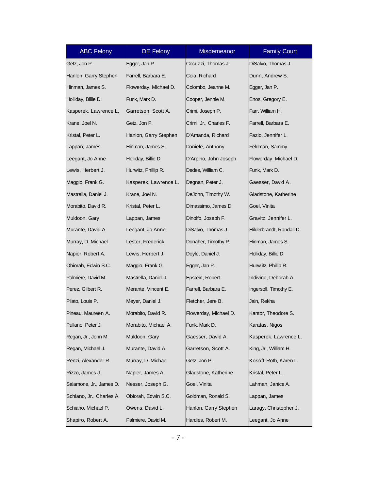| <b>ABC Felony</b>        | <b>DE Felony</b>      | Misdemeanor            | <b>Family Court</b>      |
|--------------------------|-----------------------|------------------------|--------------------------|
| Getz, Jon P.             | Egger, Jan P.         | Cocuzzi, Thomas J.     | DiSalvo, Thomas J.       |
| Hanlon, Garry Stephen    | Farrell, Barbara E.   | Coia, Richard          | Dunn, Andrew S.          |
| Hinman, James S.         | Flowerday, Michael D. | Colombo, Jeanne M.     | Egger, Jan P.            |
| Holliday, Billie D.      | Funk, Mark D.         | Cooper, Jennie M.      | Enos, Gregory E.         |
| Kasperek, Lawrence L.    | Garretson, Scott A.   | Crimi, Joseph P.       | Farr, William H.         |
| Krane, Joel N.           | Getz, Jon P.          | Crimi, Jr., Charles F. | Farrell, Barbara E.      |
| Kristal, Peter L.        | Hanlon, Garry Stephen | D'Amanda, Richard      | Fazio, Jennifer L.       |
| Lappan, James            | Hinman, James S.      | Daniele, Anthony       | Feldman, Sammy           |
| Leegant, Jo Anne         | Holliday, Billie D.   | D'Arpino, John Joseph  | Flowerday, Michael D.    |
| Lewis, Herbert J.        | Hurwitz, Phillip R.   | Dedes, William C.      | Funk, Mark D.            |
| Maggio, Frank G.         | Kasperek, Lawrence L. | Degnan, Peter J.       | Gaesser, David A.        |
| Mastrella, Daniel J.     | Krane, Joel N.        | DeJohn, Timothy W.     | Gladstone, Katherine     |
| Morabito, David R.       | Kristal, Peter L.     | Dimassimo, James D.    | Goel, Vinita             |
| Muldoon, Gary            | Lappan, James         | Dinolfo, Joseph F.     | Gravitz, Jennifer L.     |
| Murante, David A.        | Leegant, Jo Anne      | DiSalvo, Thomas J.     | Hilderbrandt, Randall D. |
| Murray, D. Michael       | Lester, Frederick     | Donaher, Timothy P.    | Hinman, James S.         |
| Napier, Robert A.        | Lewis, Herbert J.     | Doyle, Daniel J.       | Holliday, Billie D.      |
| Obiorah, Edwin S.C.      | Maggio, Frank G.      | Egger, Jan P.          | Hurw itz, Phillip R.     |
| Palmiere, David M.       | Mastrella, Daniel J.  | Epstein, Robert        | Indivino, Deborah A.     |
| Perez, Gilbert R.        | Merante, Vincent E.   | Farrell, Barbara E.    | Ingersoll, Timothy E.    |
| Pilato, Louis P.         | Meyer, Daniel J.      | Fletcher, Jere B.      | Jain, Rekha              |
| Pineau, Maureen A.       | Morabito, David R.    | Flowerday, Michael D.  | Kantor, Theodore S.      |
| Pullano, Peter J.        | Morabito, Michael A.  | Funk, Mark D.          | Karatas, Nigos           |
| Regan, Jr., John M.      | Muldoon, Gary         | Gaesser, David A.      | Kasperek, Lawrence L.    |
| Regan, Michael J.        | Murante, David A.     | Garretson, Scott A.    | King, Jr., William H.    |
| Renzi, Alexander R.      | Murray, D. Michael    | Getz, Jon P.           | Kosoff-Roth, Karen L.    |
| Rizzo, James J.          | Napier, James A.      | Gladstone, Katherine   | Kristal, Peter L.        |
| Salamone, Jr., James D.  | Nesser, Joseph G.     | Goel, Vinita           | Lahman, Janice A.        |
| Schiano, Jr., Charles A. | Obiorah, Edwin S.C.   | Goldman, Ronald S.     | Lappan, James            |
| Schiano, Michael P.      | Owens, David L.       | Hanlon, Garry Stephen  | Laragy, Christopher J.   |
| Shapiro, Robert A.       | Palmiere, David M.    | Hardies, Robert M.     | Leegant, Jo Anne         |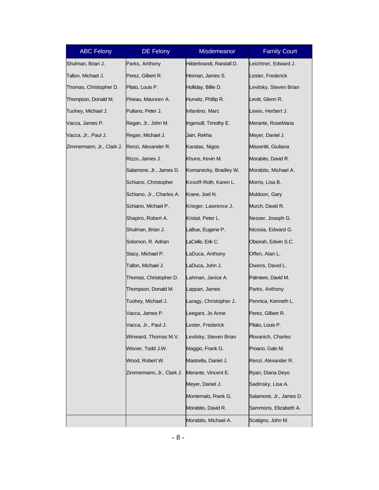| <b>ABC Felony</b>         | <b>DE Felony</b>          | Misdemeanor              | <b>Family Court</b>     |
|---------------------------|---------------------------|--------------------------|-------------------------|
| Shulman, Brian J.         | Parks, Anthony            | Hilderbrandt, Randall D. | Leichtner, Edward J.    |
| Tallon, Michael J.        | Perez, Gilbert R.         | Hinman, James S.         | Lester, Frederick       |
| Thomas, Christopher D.    | Pilato, Louis P.          | Holliday, Billie D.      | Levitsky, Steven Brian  |
| Thompson, Donald M.       | Pineau, Maureen A.        | Hurwitz, Phillip R.      | Levitt, Glenn R.        |
| Tuohey, Michael J.        | Pullano, Peter J.         | Infantino, Marc          | Lewis, Herbert J.       |
| Vacca, James P.           | Regan, Jr., John M.       | Ingersoll, Timothy E.    | Merante, RoseMaria      |
| Vacca, Jr., Paul J.       | Regan, Michael J.         | Jain, Rekha              | Meyer, Daniel J.        |
| Zimmermann, Jr., Clark J. | Renzi, Alexander R.       | Karatas, Nigos           | Misseritti, Giuliana    |
|                           | Rizzo, James J.           | Khuns, Kevin M.          | Morabito, David R.      |
|                           | Salamone, Jr., James D.   | Komanecky, Bradley W.    | Morabito, Michael A.    |
|                           | Schiano, Christopher      | Kosoff-Roth, Karen L.    | Morris, Lisa B.         |
|                           | Schiano, Jr., Charles A.  | Krane, Joel N.           | Muldoon, Gary           |
|                           | Schiano, Michael P.       | Krieger, Lawrence J.     | Murch, David R.         |
|                           | Shapiro, Robert A.        | Kristal, Peter L.        | Nesser, Joseph G.       |
|                           | Shulman, Brian J.         | LaBue, Eugene P.         | Nicosia, Edward G.      |
|                           | Solomon, R. Adrian        | LaCelle, Erik C.         | Obiorah, Edwin S.C.     |
|                           | Stacy, Michael P.         | LaDuca, Anthony          | Offen, Alan L.          |
|                           | Tallon, Michael J.        | LaDuca, John J.          | Owens, David L.         |
|                           | Thomas, Christopher D.    | Lahman, Janice A.        | Palmiere, David M.      |
|                           | Thompson, Donald M.       | Lappan, James            | Parks, Anthony          |
|                           | Tuohey, Michael J.        | Laragy, Christopher J.   | Pennica, Kenneth L.     |
|                           | Vacca, James P.           | Leegant, Jo Anne         | Perez, Gilbert R.       |
|                           | Vacca, Jr., Paul J.       | Lester, Frederick        | Pilato, Louis P.        |
|                           | Winward, Thomas M.V.      | Levitsky, Steven Brian   | Plovanich, Charles      |
|                           | Wisner, Todd J.W.         | Maggio, Frank G.         | Proano, Galo M.         |
|                           | Wood, Robert W.           | Mastrella, Daniel J.     | Renzi, Alexander R.     |
|                           | Zimmermann, Jr., Clark J. | Merante, Vincent E.      | Ryan, Diana Deyo        |
|                           |                           | Meyer, Daniel J.         | Sadinsky, Lisa A.       |
|                           |                           | Montemalo, Frank G.      | Salamone, Jr., James D. |
|                           |                           | Morabito, David R.       | Sammons, Elizabeth A.   |
|                           |                           | Morabito, Michael A.     | Scatigno, John M.       |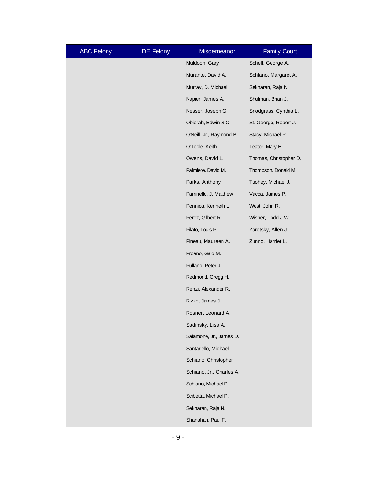| <b>ABC Felony</b> | <b>DE Felony</b> | Misdemeanor              | <b>Family Court</b>    |
|-------------------|------------------|--------------------------|------------------------|
|                   |                  | Muldoon, Gary            | Schell, George A.      |
|                   |                  | Murante, David A.        | Schiano, Margaret A.   |
|                   |                  | Murray, D. Michael       | Sekharan, Raja N.      |
|                   |                  | Napier, James A.         | Shulman, Brian J.      |
|                   |                  | Nesser, Joseph G.        | Snodgrass, Cynthia L.  |
|                   |                  | Obiorah, Edwin S.C.      | St. George, Robert J.  |
|                   |                  | O'Neill, Jr., Raymond B. | Stacy, Michael P.      |
|                   |                  | O'Toole, Keith           | Teator, Mary E.        |
|                   |                  | Owens, David L.          | Thomas, Christopher D. |
|                   |                  | Palmiere, David M.       | Thompson, Donald M.    |
|                   |                  | Parks, Anthony           | Tuohey, Michael J.     |
|                   |                  | Parrinello, J. Matthew   | Vacca, James P.        |
|                   |                  | Pennica, Kenneth L.      | West, John R.          |
|                   |                  | Perez, Gilbert R.        | Wisner, Todd J.W.      |
|                   |                  | Pilato, Louis P.         | Zaretsky, Allen J.     |
|                   |                  | Pineau, Maureen A.       | Zunno, Harriet L.      |
|                   |                  | Proano, Galo M.          |                        |
|                   |                  | Pullano, Peter J.        |                        |
|                   |                  | Redmond, Gregg H.        |                        |
|                   |                  | Renzi, Alexander R.      |                        |
|                   |                  | Rizzo, James J.          |                        |
|                   |                  | Rosner, Leonard A.       |                        |
|                   |                  | Sadinsky, Lisa A.        |                        |
|                   |                  | Salamone, Jr., James D.  |                        |
|                   |                  | Santariello, Michael     |                        |
|                   |                  | Schiano, Christopher     |                        |
|                   |                  | Schiano, Jr., Charles A. |                        |
|                   |                  | Schiano, Michael P.      |                        |
|                   |                  | Scibetta, Michael P.     |                        |
|                   |                  | Sekharan, Raja N.        |                        |
|                   |                  | Shanahan, Paul F.        |                        |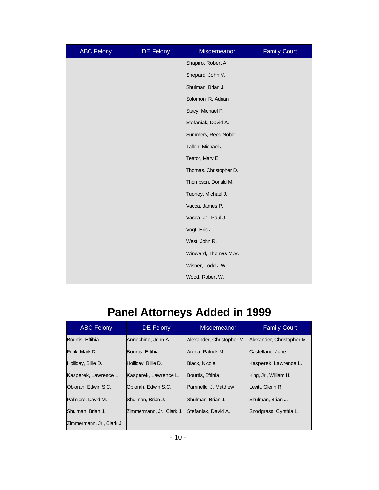| <b>ABC Felony</b> | DE Felony | Misdemeanor            | <b>Family Court</b> |
|-------------------|-----------|------------------------|---------------------|
|                   |           | Shapiro, Robert A.     |                     |
|                   |           | Shepard, John V.       |                     |
|                   |           | Shulman, Brian J.      |                     |
|                   |           | Solomon, R. Adrian     |                     |
|                   |           | Stacy, Michael P.      |                     |
|                   |           | Stefaniak, David A.    |                     |
|                   |           | Summers, Reed Noble    |                     |
|                   |           | Tallon, Michael J.     |                     |
|                   |           | Teator, Mary E.        |                     |
|                   |           | Thomas, Christopher D. |                     |
|                   |           | Thompson, Donald M.    |                     |
|                   |           | Tuohey, Michael J.     |                     |
|                   |           | Vacca, James P.        |                     |
|                   |           | Vacca, Jr., Paul J.    |                     |
|                   |           | Vogt, Eric J.          |                     |
|                   |           | West, John R.          |                     |
|                   |           | Winward, Thomas M.V.   |                     |
|                   |           | Wisner, Todd J.W.      |                     |
|                   |           | Wood, Robert W.        |                     |

## **Panel Attorneys Added in 1999**

| <b>ABC Felony</b>         | <b>DE Felony</b>          | <b>Misdemeanor</b>        | <b>Family Court</b>       |  |
|---------------------------|---------------------------|---------------------------|---------------------------|--|
| Bourtis, Eftihia          | Annechino, John A.        | Alexander, Christopher M. | Alexander, Christopher M. |  |
| Funk. Mark D.             | Bourtis, Eftihia          | Arena, Patrick M.         | Castellano, June          |  |
| Holliday, Billie D.       | Holliday, Billie D.       | <b>Black, Nicole</b>      | Kasperek, Lawrence L.     |  |
| Kasperek, Lawrence L.     | Kasperek, Lawrence L.     | Bourtis, Eftihia          | King, Jr., William H.     |  |
| Obiorah, Edwin S.C.       | Obiorah, Edwin S.C.       | Parrinello, J. Matthew    | Levitt. Glenn R.          |  |
| Palmiere, David M.        | Shulman, Brian J.         | Shulman, Brian J.         | Shulman, Brian J.         |  |
| Shulman, Brian J.         | Zimmermann, Jr., Clark J. | Stefaniak, David A.       | Snodgrass, Cynthia L.     |  |
| Zimmermann, Jr., Clark J. |                           |                           |                           |  |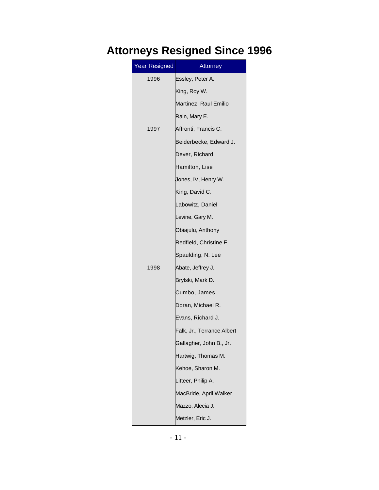## **Attorneys Resigned Since 1996**

| <b>Year Resigned</b> | Attorney                   |
|----------------------|----------------------------|
| 1996                 | Essley, Peter A.           |
|                      | King, Roy W.               |
|                      | Martinez, Raul Emilio      |
|                      | Rain, Mary E.              |
| 1997                 | Affronti, Francis C.       |
|                      | Beiderbecke, Edward J.     |
|                      | Dever, Richard             |
|                      | Hamilton, Lise             |
|                      | Jones, IV, Henry W.        |
|                      | King, David C.             |
|                      | Labowitz, Daniel           |
|                      | Levine, Gary M.            |
|                      | Obiajulu, Anthony          |
|                      | Redfield, Christine F.     |
|                      | Spaulding, N. Lee          |
| 1998                 | Abate, Jeffrey J.          |
|                      | Brylski, Mark D.           |
|                      | Cumbo, James               |
|                      | Doran, Michael R.          |
|                      | Evans, Richard J.          |
|                      | Falk, Jr., Terrance Albert |
|                      | Gallagher, John B., Jr.    |
|                      | Hartwig, Thomas M.         |
|                      | Kehoe, Sharon M.           |
|                      | Litteer, Philip A.         |
|                      | MacBride, April Walker     |
|                      | Mazzo, Alecia J.           |
|                      | Metzler, Eric J.           |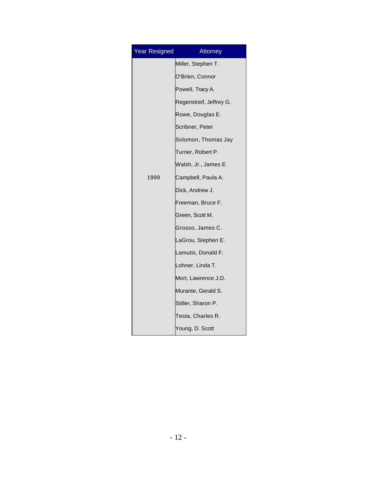| <b>Year Resigned</b> | Attorney                |
|----------------------|-------------------------|
|                      | Miller, Stephen T.      |
|                      | O'Brien, Connor         |
|                      | Powell, Tracy A.        |
|                      | Regenstreif, Jeffrey G. |
|                      | Rowe, Douglas E.        |
|                      | Scribner, Peter         |
|                      | Solomon, Thomas Jay     |
|                      | Turner, Robert P.       |
|                      | Walsh, Jr., James E.    |
| 1999                 | Campbell, Paula A.      |
|                      | Dick, Andrew J.         |
|                      | Freeman, Bruce F.       |
|                      | Green, Scott M.         |
|                      | Grosso, James C.        |
|                      | LaGrou, Stephen E.      |
|                      | Lamutis, Donald F.      |
|                      | Lohner, Linda T.        |
|                      | Mort, Lawrence J.D.     |
|                      | Murante, Gerald S.      |
|                      | Stiller, Sharon P.      |
|                      | Testa, Charles R.       |
|                      | Young, D. Scott         |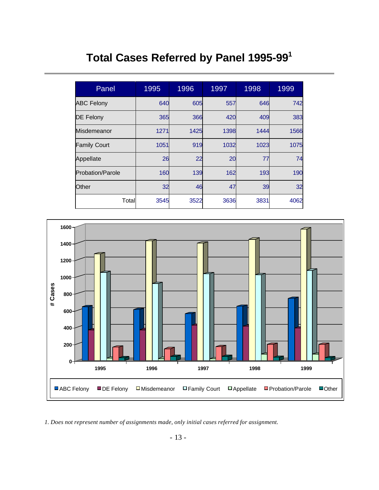## **Total Cases Referred by Panel 1995-99<sup>1</sup>**

| Panel                   | 1995 | 1996 | 1997 | 1998 | 1999 |
|-------------------------|------|------|------|------|------|
| <b>ABC Felony</b>       | 640  | 605  | 557  | 646  | 742  |
| <b>DE Felony</b>        | 365  | 366  | 420  | 409  | 383  |
| Misdemeanor             | 1271 | 1425 | 1398 | 1444 | 1566 |
| <b>Family Court</b>     | 1051 | 919  | 1032 | 1023 | 1075 |
| Appellate               | 26   | 22   | 20   | 77   | 74   |
| <b>Probation/Parole</b> | 160  | 139  | 162  | 193  | 190  |
| Other                   | 32   | 46   | 47   | 39   | 32   |
| Total                   | 3545 | 3522 | 3636 | 3831 | 4062 |



*1. Does not represent number of assignments made, only initial cases referred for assignment.*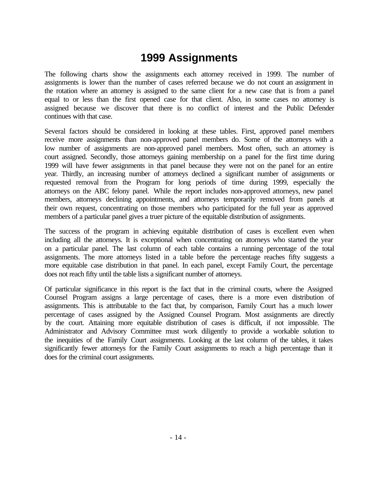#### **1999 Assignments**

The following charts show the assignments each attorney received in 1999. The number of assignments is lower than the number of cases referred because we do not count an assignment in the rotation where an attorney is assigned to the same client for a new case that is from a panel equal to or less than the first opened case for that client. Also, in some cases no attorney is assigned because we discover that there is no conflict of interest and the Public Defender continues with that case.

Several factors should be considered in looking at these tables. First, approved panel members receive more assignments than non-approved panel members do. Some of the attorneys with a low number of assignments are non-approved panel members. Most often, such an attorney is court assigned. Secondly, those attorneys gaining membership on a panel for the first time during 1999 will have fewer assignments in that panel because they were not on the panel for an entire year. Thirdly, an increasing number of attorneys declined a significant number of assignments or requested removal from the Program for long periods of time during 1999, especially the attorneys on the ABC felony panel. While the report includes non-approved attorneys, new panel members, attorneys declining appointments, and attorneys temporarily removed from panels at their own request, concentrating on those members who participated for the full year as approved members of a particular panel gives a truer picture of the equitable distribution of assignments.

The success of the program in achieving equitable distribution of cases is excellent even when including all the attorneys. It is exceptional when concentrating on attorneys who started the year on a particular panel. The last column of each table contains a running percentage of the total assignments. The more attorneys listed in a table before the percentage reaches fifty suggests a more equitable case distribution in that panel. In each panel, except Family Court, the percentage does not reach fifty until the table lists a significant number of attorneys.

Of particular significance in this report is the fact that in the criminal courts, where the Assigned Counsel Program assigns a large percentage of cases, there is a more even distribution of assignments. This is attributable to the fact that, by comparison, Family Court has a much lower percentage of cases assigned by the Assigned Counsel Program. Most assignments are directly by the court. Attaining more equitable distribution of cases is difficult, if not impossible. The Administrator and Advisory Committee must work diligently to provide a workable solution to the inequities of the Family Court assignments. Looking at the last column of the tables, it takes significantly fewer attorneys for the Family Court assignments to reach a high percentage than it does for the criminal court assignments.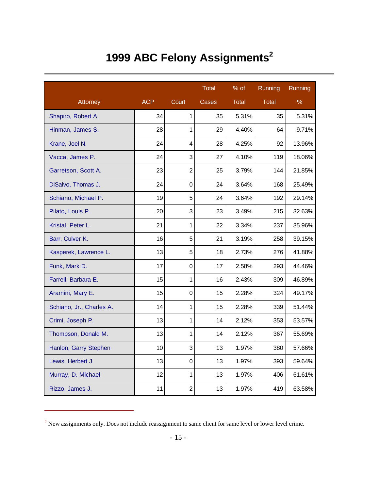# **1999 ABC Felony Assignments<sup>2</sup>**

|                          |            |                | <b>Total</b> | $\frac{9}{6}$ of | Running      | Running |
|--------------------------|------------|----------------|--------------|------------------|--------------|---------|
| Attorney                 | <b>ACP</b> | Court          | Cases        | <b>Total</b>     | <b>Total</b> | %       |
| Shapiro, Robert A.       | 34         | $\mathbf{1}$   | 35           | 5.31%            | 35           | 5.31%   |
| Hinman, James S.         | 28         | $\mathbf 1$    | 29           | 4.40%            | 64           | 9.71%   |
| Krane, Joel N.           | 24         | 4              | 28           | 4.25%            | 92           | 13.96%  |
| Vacca, James P.          | 24         | 3              | 27           | 4.10%            | 119          | 18.06%  |
| Garretson, Scott A.      | 23         | $\overline{2}$ | 25           | 3.79%            | 144          | 21.85%  |
| DiSalvo, Thomas J.       | 24         | $\mathbf 0$    | 24           | 3.64%            | 168          | 25.49%  |
| Schiano, Michael P.      | 19         | 5              | 24           | 3.64%            | 192          | 29.14%  |
| Pilato, Louis P.         | 20         | 3              | 23           | 3.49%            | 215          | 32.63%  |
| Kristal, Peter L.        | 21         | 1              | 22           | 3.34%            | 237          | 35.96%  |
| Barr, Culver K.          | 16         | 5              | 21           | 3.19%            | 258          | 39.15%  |
| Kasperek, Lawrence L.    | 13         | 5              | 18           | 2.73%            | 276          | 41.88%  |
| Funk, Mark D.            | 17         | $\mathbf 0$    | 17           | 2.58%            | 293          | 44.46%  |
| Farrell, Barbara E.      | 15         | 1              | 16           | 2.43%            | 309          | 46.89%  |
| Aramini, Mary E.         | 15         | $\mathbf 0$    | 15           | 2.28%            | 324          | 49.17%  |
| Schiano, Jr., Charles A. | 14         | 1              | 15           | 2.28%            | 339          | 51.44%  |
| Crimi, Joseph P.         | 13         | 1              | 14           | 2.12%            | 353          | 53.57%  |
| Thompson, Donald M.      | 13         | 1              | 14           | 2.12%            | 367          | 55.69%  |
| Hanlon, Garry Stephen    | 10         | 3              | 13           | 1.97%            | 380          | 57.66%  |
| Lewis, Herbert J.        | 13         | $\mathbf 0$    | 13           | 1.97%            | 393          | 59.64%  |
| Murray, D. Michael       | 12         | $\mathbf{1}$   | 13           | 1.97%            | 406          | 61.61%  |
| Rizzo, James J.          | 11         | $\overline{2}$ | 13           | 1.97%            | 419          | 63.58%  |

<sup>&</sup>lt;sup>2</sup> New assignments only. Does not include reassignment to same client for same level or lower level crime.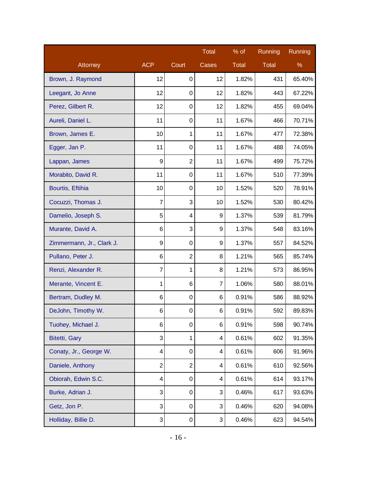|                           |                |                | <b>Total</b> | % of         | Running      | Running |
|---------------------------|----------------|----------------|--------------|--------------|--------------|---------|
| Attorney                  | <b>ACP</b>     | Court          | Cases        | <b>Total</b> | <b>Total</b> | $\%$    |
| Brown, J. Raymond         | 12             | 0              | 12           | 1.82%        | 431          | 65.40%  |
| Leegant, Jo Anne          | 12             | 0              | 12           | 1.82%        | 443          | 67.22%  |
| Perez, Gilbert R.         | 12             | 0              | 12           | 1.82%        | 455          | 69.04%  |
| Aureli, Daniel L.         | 11             | 0              | 11           | 1.67%        | 466          | 70.71%  |
| Brown, James E.           | 10             | 1              | 11           | 1.67%        | 477          | 72.38%  |
| Egger, Jan P.             | 11             | 0              | 11           | 1.67%        | 488          | 74.05%  |
| Lappan, James             | 9              | $\overline{2}$ | 11           | 1.67%        | 499          | 75.72%  |
| Morabito, David R.        | 11             | 0              | 11           | 1.67%        | 510          | 77.39%  |
| Bourtis, Eftihia          | 10             | 0              | 10           | 1.52%        | 520          | 78.91%  |
| Cocuzzi, Thomas J.        | 7              | 3              | 10           | 1.52%        | 530          | 80.42%  |
| Damelio, Joseph S.        | 5              | 4              | 9            | 1.37%        | 539          | 81.79%  |
| Murante, David A.         | 6              | 3              | 9            | 1.37%        | 548          | 83.16%  |
| Zimmermann, Jr., Clark J. | 9              | 0              | 9            | 1.37%        | 557          | 84.52%  |
| Pullano, Peter J.         | 6              | $\overline{2}$ | 8            | 1.21%        | 565          | 85.74%  |
| Renzi, Alexander R.       | $\overline{7}$ | 1              | 8            | 1.21%        | 573          | 86.95%  |
| Merante, Vincent E.       | 1              | 6              | 7            | 1.06%        | 580          | 88.01%  |
| Bertram, Dudley M.        | 6              | $\mathbf 0$    | 6            | 0.91%        | 586          | 88.92%  |
| DeJohn, Timothy W.        | 6              | 0              | 6            | 0.91%        | 592          | 89.83%  |
| Tuohey, Michael J.        | 6              | 0              | 6            | 0.91%        | 598          | 90.74%  |
| <b>Bitetti, Gary</b>      | 3              | 1              | 4            | 0.61%        | 602          | 91.35%  |
| Conaty, Jr., George W.    | 4              | 0              | 4            | 0.61%        | 606          | 91.96%  |
| Daniele, Anthony          | $\overline{2}$ | $\overline{2}$ | 4            | 0.61%        | 610          | 92.56%  |
| Obiorah, Edwin S.C.       | 4              | 0              | 4            | 0.61%        | 614          | 93.17%  |
| Burke, Adrian J.          | 3              | $\mathbf 0$    | 3            | 0.46%        | 617          | 93.63%  |
| Getz, Jon P.              | 3              | 0              | 3            | 0.46%        | 620          | 94.08%  |
| Holliday, Billie D.       | 3              | 0              | 3            | 0.46%        | 623          | 94.54%  |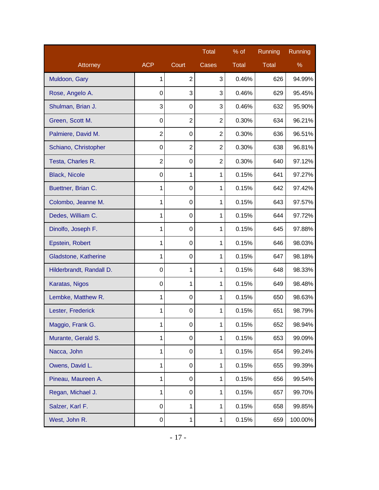|                          |                  |                  | Total          | $%$ of | Running | Running |
|--------------------------|------------------|------------------|----------------|--------|---------|---------|
| Attorney                 | <b>ACP</b>       | Court            | Cases          | Total  | Total   | %       |
| Muldoon, Gary            | 1                | $\overline{2}$   | 3              | 0.46%  | 626     | 94.99%  |
| Rose, Angelo A.          | $\mathbf 0$      | 3                | 3              | 0.46%  | 629     | 95.45%  |
| Shulman, Brian J.        | 3                | 0                | 3              | 0.46%  | 632     | 95.90%  |
| Green, Scott M.          | $\mathbf 0$      | $\overline{2}$   | $\overline{2}$ | 0.30%  | 634     | 96.21%  |
| Palmiere, David M.       | $\overline{2}$   | 0                | $\overline{2}$ | 0.30%  | 636     | 96.51%  |
| Schiano, Christopher     | $\pmb{0}$        | $\overline{c}$   | 2              | 0.30%  | 638     | 96.81%  |
| Testa, Charles R.        | $\overline{2}$   | 0                | $\overline{2}$ | 0.30%  | 640     | 97.12%  |
| <b>Black, Nicole</b>     | $\mathbf 0$      | 1                | $\mathbf{1}$   | 0.15%  | 641     | 97.27%  |
| Buettner, Brian C.       | 1                | 0                | $\mathbf{1}$   | 0.15%  | 642     | 97.42%  |
| Colombo, Jeanne M.       | 1                | 0                | 1              | 0.15%  | 643     | 97.57%  |
| Dedes, William C.        | 1                | $\boldsymbol{0}$ | $\mathbf{1}$   | 0.15%  | 644     | 97.72%  |
| Dinolfo, Joseph F.       | 1                | 0                | 1              | 0.15%  | 645     | 97.88%  |
| Epstein, Robert          | 1                | 0                | 1              | 0.15%  | 646     | 98.03%  |
| Gladstone, Katherine     | 1                | 0                | 1              | 0.15%  | 647     | 98.18%  |
| Hilderbrandt, Randall D. | $\boldsymbol{0}$ | 1                | 1              | 0.15%  | 648     | 98.33%  |
| Karatas, Nigos           | $\mathbf 0$      | 1                | 1              | 0.15%  | 649     | 98.48%  |
| Lembke, Matthew R.       | 1                | $\boldsymbol{0}$ | 1              | 0.15%  | 650     | 98.63%  |
| Lester, Frederick        | 1                | $\boldsymbol{0}$ | $\mathbf{1}$   | 0.15%  | 651     | 98.79%  |
| Maggio, Frank G.         | 1                | 0                | 1              | 0.15%  | 652     | 98.94%  |
| Murante, Gerald S.       | 1                | 0                | $\mathbf{1}$   | 0.15%  | 653     | 99.09%  |
| Nacca, John              | 1                | 0                | $\mathbf{1}$   | 0.15%  | 654     | 99.24%  |
| Owens, David L.          | 1                | 0                | 1              | 0.15%  | 655     | 99.39%  |
| Pineau, Maureen A.       | 1                | 0                | $\mathbf{1}$   | 0.15%  | 656     | 99.54%  |
| Regan, Michael J.        | 1                | 0                | $\mathbf 1$    | 0.15%  | 657     | 99.70%  |
| Salzer, Karl F.          | $\boldsymbol{0}$ | $\mathbf{1}$     | $\mathbf{1}$   | 0.15%  | 658     | 99.85%  |
| West, John R.            | 0                | $\mathbf{1}$     | $\mathbf{1}$   | 0.15%  | 659     | 100.00% |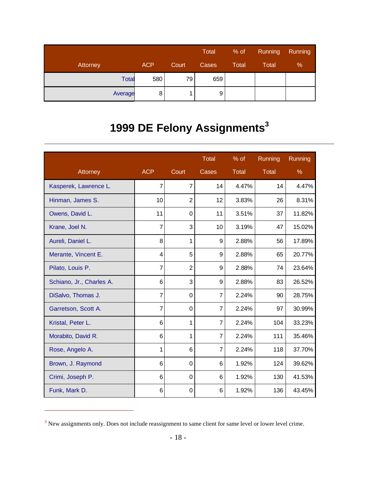|              |            |       | Total | % of         | Running | <b>Running</b> |
|--------------|------------|-------|-------|--------------|---------|----------------|
| Attorney     | <b>ACP</b> | Court | Cases | <b>Total</b> | Total   | %              |
| <b>Total</b> | 580        | 79    | 659   |              |         |                |
| Average      | 8          |       | 9     |              |         |                |

# **1999 DE Felony Assignments<sup>3</sup>**

|                          |                |                | Total          | $%$ of | Running      | Running       |
|--------------------------|----------------|----------------|----------------|--------|--------------|---------------|
| Attorney                 | <b>ACP</b>     | Court          | Cases          | Total  | <b>Total</b> | $\frac{9}{6}$ |
| Kasperek, Lawrence L.    | 7              | $\overline{7}$ | 14             | 4.47%  | 14           | 4.47%         |
| Hinman, James S.         | 10             | $\overline{2}$ | 12             | 3.83%  | 26           | 8.31%         |
| Owens, David L.          | 11             | 0              | 11             | 3.51%  | 37           | 11.82%        |
| Krane, Joel N.           | 7              | 3              | 10             | 3.19%  | 47           | 15.02%        |
| Aureli, Daniel L.        | 8              | 1              | 9              | 2.88%  | 56           | 17.89%        |
| Merante, Vincent E.      | 4              | 5              | 9              | 2.88%  | 65           | 20.77%        |
| Pilato, Louis P.         | $\overline{7}$ | $\overline{2}$ | 9              | 2.88%  | 74           | 23.64%        |
| Schiano, Jr., Charles A. | 6              | 3              | 9              | 2.88%  | 83           | 26.52%        |
| DiSalvo, Thomas J.       | 7              | $\Omega$       | $\overline{7}$ | 2.24%  | 90           | 28.75%        |
| Garretson, Scott A.      | 7              | $\Omega$       | 7              | 2.24%  | 97           | 30.99%        |
| Kristal, Peter L.        | 6              | 1              | $\overline{7}$ | 2.24%  | 104          | 33.23%        |
| Morabito, David R.       | 6              | 1              | 7              | 2.24%  | 111          | 35.46%        |
| Rose, Angelo A.          | 1              | 6              | $\overline{7}$ | 2.24%  | 118          | 37.70%        |
| Brown, J. Raymond        | 6              | $\Omega$       | 6              | 1.92%  | 124          | 39.62%        |
| Crimi, Joseph P.         | 6              | 0              | 6              | 1.92%  | 130          | 41.53%        |
| Funk, Mark D.            | 6              | 0              | 6              | 1.92%  | 136          | 43.45%        |

 $3$  New assignments only. Does not include reassignment to same client for same level or lower level crime.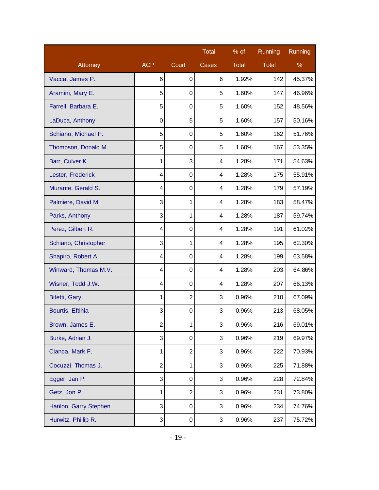|                       |                |                  | <b>Total</b> | $%$ of | Running | Running |
|-----------------------|----------------|------------------|--------------|--------|---------|---------|
| Attorney              | <b>ACP</b>     | Court            | Cases        | Total  | Total   | %       |
| Vacca, James P.       | 6              | 0                | 6            | 1.92%  | 142     | 45.37%  |
| Aramini, Mary E.      | 5              | $\boldsymbol{0}$ | 5            | 1.60%  | 147     | 46.96%  |
| Farrell, Barbara E.   | 5              | $\boldsymbol{0}$ | 5            | 1.60%  | 152     | 48.56%  |
| LaDuca, Anthony       | $\mathbf 0$    | 5                | 5            | 1.60%  | 157     | 50.16%  |
| Schiano, Michael P.   | 5              | $\boldsymbol{0}$ | 5            | 1.60%  | 162     | 51.76%  |
| Thompson, Donald M.   | 5              | $\boldsymbol{0}$ | 5            | 1.60%  | 167     | 53.35%  |
| Barr, Culver K.       | 1              | 3                | 4            | 1.28%  | 171     | 54.63%  |
| Lester, Frederick     | 4              | $\boldsymbol{0}$ | 4            | 1.28%  | 175     | 55.91%  |
| Murante, Gerald S.    | 4              | $\boldsymbol{0}$ | 4            | 1.28%  | 179     | 57.19%  |
| Palmiere, David M.    | 3              | 1                | 4            | 1.28%  | 183     | 58.47%  |
| Parks, Anthony        | 3              | 1                | 4            | 1.28%  | 187     | 59.74%  |
| Perez, Gilbert R.     | 4              | $\boldsymbol{0}$ | 4            | 1.28%  | 191     | 61.02%  |
| Schiano, Christopher  | 3              | 1                | 4            | 1.28%  | 195     | 62.30%  |
| Shapiro, Robert A.    | 4              | $\boldsymbol{0}$ | 4            | 1.28%  | 199     | 63.58%  |
| Winward, Thomas M.V.  | 4              | $\boldsymbol{0}$ | 4            | 1.28%  | 203     | 64.86%  |
| Wisner, Todd J.W.     | 4              | $\mathbf 0$      | 4            | 1.28%  | 207     | 66.13%  |
| <b>Bitetti, Gary</b>  | 1              | $\overline{2}$   | 3            | 0.96%  | 210     | 67.09%  |
| Bourtis, Eftihia      | 3              | $\boldsymbol{0}$ | 3            | 0.96%  | 213     | 68.05%  |
| Brown, James E.       | 2              | 1                | 3            | 0.96%  | 216     | 69.01%  |
| Burke, Adrian J.      | 3              | $\boldsymbol{0}$ | 3            | 0.96%  | 219     | 69.97%  |
| Cianca, Mark F.       | 1              | $\overline{2}$   | 3            | 0.96%  | 222     | 70.93%  |
| Cocuzzi, Thomas J.    | $\overline{2}$ | 1                | 3            | 0.96%  | 225     | 71.88%  |
| Egger, Jan P.         | 3              | $\boldsymbol{0}$ | 3            | 0.96%  | 228     | 72.84%  |
| Getz, Jon P.          | 1              | $\overline{2}$   | 3            | 0.96%  | 231     | 73.80%  |
| Hanlon, Garry Stephen | 3              | 0                | 3            | 0.96%  | 234     | 74.76%  |
| Hurwitz, Phillip R.   | 3              | 0                | 3            | 0.96%  | 237     | 75.72%  |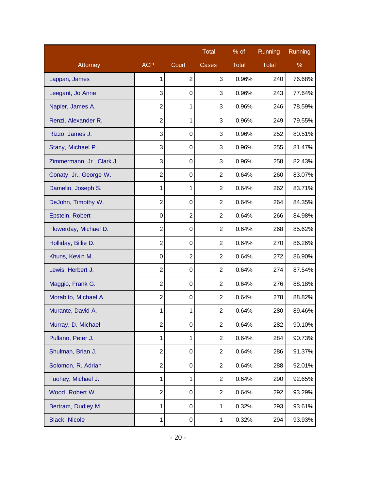|                           |                  |                  | Total          | % of  | Running | Running |
|---------------------------|------------------|------------------|----------------|-------|---------|---------|
| Attorney                  | <b>ACP</b>       | Court            | Cases          | Total | Total   | %       |
| Lappan, James             | 1                | $\overline{2}$   | 3              | 0.96% | 240     | 76.68%  |
| Leegant, Jo Anne          | 3                | $\boldsymbol{0}$ | 3              | 0.96% | 243     | 77.64%  |
| Napier, James A.          | $\overline{2}$   | 1                | 3              | 0.96% | 246     | 78.59%  |
| Renzi, Alexander R.       | $\overline{c}$   | 1                | 3              | 0.96% | 249     | 79.55%  |
| Rizzo, James J.           | 3                | $\boldsymbol{0}$ | 3              | 0.96% | 252     | 80.51%  |
| Stacy, Michael P.         | 3                | $\boldsymbol{0}$ | 3              | 0.96% | 255     | 81.47%  |
| Zimmermann, Jr., Clark J. | 3                | $\mathbf 0$      | 3              | 0.96% | 258     | 82.43%  |
| Conaty, Jr., George W.    | $\overline{2}$   | 0                | $\overline{2}$ | 0.64% | 260     | 83.07%  |
| Damelio, Joseph S.        | 1                | 1                | $\overline{2}$ | 0.64% | 262     | 83.71%  |
| DeJohn, Timothy W.        | $\overline{c}$   | $\mathbf 0$      | $\overline{2}$ | 0.64% | 264     | 84.35%  |
| Epstein, Robert           | $\boldsymbol{0}$ | $\overline{2}$   | $\overline{2}$ | 0.64% | 266     | 84.98%  |
| Flowerday, Michael D.     | $\overline{2}$   | $\boldsymbol{0}$ | $\overline{2}$ | 0.64% | 268     | 85.62%  |
| Holliday, Billie D.       | $\overline{c}$   | $\mathbf 0$      | $\overline{2}$ | 0.64% | 270     | 86.26%  |
| Khuns, Kevin M.           | $\mathbf 0$      | $\overline{2}$   | $\overline{2}$ | 0.64% | 272     | 86.90%  |
| Lewis, Herbert J.         | $\overline{2}$   | $\boldsymbol{0}$ | $\overline{2}$ | 0.64% | 274     | 87.54%  |
| Maggio, Frank G.          | $\overline{c}$   | $\boldsymbol{0}$ | $\overline{2}$ | 0.64% | 276     | 88.18%  |
| Morabito, Michael A.      | $\overline{2}$   | $\boldsymbol{0}$ | $\overline{2}$ | 0.64% | 278     | 88.82%  |
| Murante, David A.         | 1                | 1                | $\overline{2}$ | 0.64% | 280     | 89.46%  |
| Murray, D. Michael        | 2                | 0                | 2              | 0.64% | 282     | 90.10%  |
| Pullano, Peter J.         | 1                | $\mathbf{1}$     | $\overline{2}$ | 0.64% | 284     | 90.73%  |
| Shulman, Brian J.         | $\overline{2}$   | $\boldsymbol{0}$ | $\overline{2}$ | 0.64% | 286     | 91.37%  |
| Solomon, R. Adrian        | $\overline{2}$   | $\boldsymbol{0}$ | $\overline{2}$ | 0.64% | 288     | 92.01%  |
| Tuohey, Michael J.        | 1                | $\mathbf{1}$     | $\overline{2}$ | 0.64% | 290     | 92.65%  |
| Wood, Robert W.           | $\overline{2}$   | $\boldsymbol{0}$ | $\overline{2}$ | 0.64% | 292     | 93.29%  |
| Bertram, Dudley M.        | 1                | 0                | 1              | 0.32% | 293     | 93.61%  |
| <b>Black, Nicole</b>      | 1                | 0                | $\mathbf{1}$   | 0.32% | 294     | 93.93%  |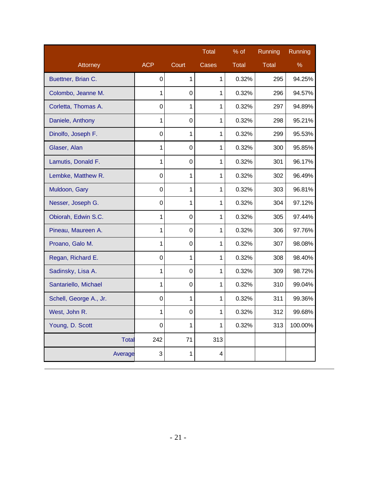|                        |                  |             | <b>Total</b> | % of  | Running      | Running |
|------------------------|------------------|-------------|--------------|-------|--------------|---------|
| Attorney               | <b>ACP</b>       | Court       | Cases        | Total | <b>Total</b> | $\%$    |
| Buettner, Brian C.     | 0                | 1           | 1            | 0.32% | 295          | 94.25%  |
| Colombo, Jeanne M.     | 1                | 0           | 1            | 0.32% | 296          | 94.57%  |
| Corletta, Thomas A.    | $\overline{0}$   | 1           | 1            | 0.32% | 297          | 94.89%  |
| Daniele, Anthony       | 1                | $\pmb{0}$   | 1            | 0.32% | 298          | 95.21%  |
| Dinolfo, Joseph F.     | $\overline{0}$   | 1           | 1            | 0.32% | 299          | 95.53%  |
| Glaser, Alan           | 1                | $\mathsf 0$ | 1            | 0.32% | 300          | 95.85%  |
| Lamutis, Donald F.     | 1                | $\pmb{0}$   | 1            | 0.32% | 301          | 96.17%  |
| Lembke, Matthew R.     | $\mathbf 0$      | 1           | 1            | 0.32% | 302          | 96.49%  |
| Muldoon, Gary          | $\boldsymbol{0}$ | 1           | 1            | 0.32% | 303          | 96.81%  |
| Nesser, Joseph G.      | $\overline{0}$   | 1           | 1            | 0.32% | 304          | 97.12%  |
| Obiorah, Edwin S.C.    | 1                | $\pmb{0}$   | 1            | 0.32% | 305          | 97.44%  |
| Pineau, Maureen A.     | 1                | $\mathbf 0$ | 1            | 0.32% | 306          | 97.76%  |
| Proano, Galo M.        | 1                | $\mathbf 0$ | 1            | 0.32% | 307          | 98.08%  |
| Regan, Richard E.      | $\mathbf 0$      | 1           | 1            | 0.32% | 308          | 98.40%  |
| Sadinsky, Lisa A.      | 1                | 0           | 1            | 0.32% | 309          | 98.72%  |
| Santariello, Michael   | 1                | $\pmb{0}$   | 1            | 0.32% | 310          | 99.04%  |
| Schell, George A., Jr. | $\mathbf 0$      | 1           | 1            | 0.32% | 311          | 99.36%  |
| West, John R.          | 1                | $\mathbf 0$ | 1            | 0.32% | 312          | 99.68%  |
| Young, D. Scott        | 0                | 1           | 1            | 0.32% | 313          | 100.00% |
| Total                  | 242              | 71          | 313          |       |              |         |
| Average                | 3                | 1           | 4            |       |              |         |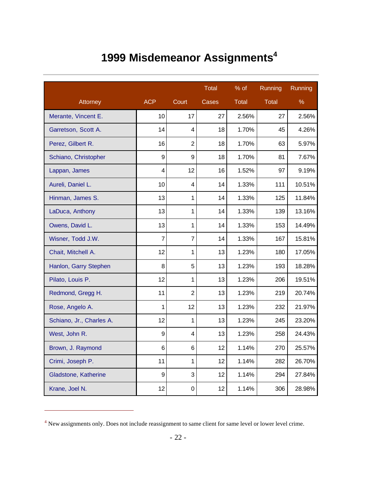## **1999 Misdemeanor Assignments<sup>4</sup>**

|                          |                  |                | <b>Total</b> | % of         | Running      | Running |
|--------------------------|------------------|----------------|--------------|--------------|--------------|---------|
| Attorney                 | <b>ACP</b>       | Court          | Cases        | <b>Total</b> | <b>Total</b> | $\%$    |
| Merante, Vincent E.      | 10               | 17             | 27           | 2.56%        | 27           | 2.56%   |
| Garretson, Scott A.      | 14               | 4              | 18           | 1.70%        | 45           | 4.26%   |
| Perez, Gilbert R.        | 16               | $\overline{2}$ | 18           | 1.70%        | 63           | 5.97%   |
| Schiano, Christopher     | 9                | 9              | 18           | 1.70%        | 81           | 7.67%   |
| Lappan, James            | 4                | 12             | 16           | 1.52%        | 97           | 9.19%   |
| Aureli, Daniel L.        | 10               | 4              | 14           | 1.33%        | 111          | 10.51%  |
| Hinman, James S.         | 13               | $\mathbf{1}$   | 14           | 1.33%        | 125          | 11.84%  |
| LaDuca, Anthony          | 13               | 1              | 14           | 1.33%        | 139          | 13.16%  |
| Owens, David L.          | 13               | $\mathbf{1}$   | 14           | 1.33%        | 153          | 14.49%  |
| Wisner, Todd J.W.        | $\overline{7}$   | $\overline{7}$ | 14           | 1.33%        | 167          | 15.81%  |
| Chait, Mitchell A.       | 12               | $\mathbf{1}$   | 13           | 1.23%        | 180          | 17.05%  |
| Hanlon, Garry Stephen    | 8                | 5              | 13           | 1.23%        | 193          | 18.28%  |
| Pilato, Louis P.         | 12               | 1              | 13           | 1.23%        | 206          | 19.51%  |
| Redmond, Gregg H.        | 11               | $\overline{2}$ | 13           | 1.23%        | 219          | 20.74%  |
| Rose, Angelo A.          | 1                | 12             | 13           | 1.23%        | 232          | 21.97%  |
| Schiano, Jr., Charles A. | 12               | $\mathbf{1}$   | 13           | 1.23%        | 245          | 23.20%  |
| West, John R.            | 9                | 4              | 13           | 1.23%        | 258          | 24.43%  |
| Brown, J. Raymond        | 6                | 6              | 12           | 1.14%        | 270          | 25.57%  |
| Crimi, Joseph P.         | 11               | $\mathbf{1}$   | 12           | 1.14%        | 282          | 26.70%  |
| Gladstone, Katherine     | $\boldsymbol{9}$ | 3              | 12           | 1.14%        | 294          | 27.84%  |
| Krane, Joel N.           | 12               | $\mathbf 0$    | 12           | 1.14%        | 306          | 28.98%  |

<sup>4</sup> New assignments only. Does not include reassignment to same client for same level or lower level crime.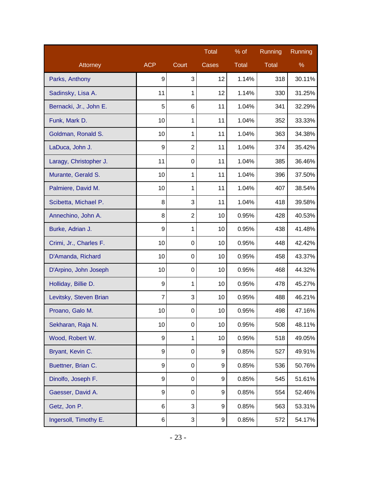|                        |                |                | <b>Total</b> | % of         | Running      | Running |
|------------------------|----------------|----------------|--------------|--------------|--------------|---------|
| Attorney               | <b>ACP</b>     | Court          | Cases        | <b>Total</b> | <b>Total</b> | %       |
| Parks, Anthony         | 9              | 3              | 12           | 1.14%        | 318          | 30.11%  |
| Sadinsky, Lisa A.      | 11             | 1              | 12           | 1.14%        | 330          | 31.25%  |
| Bernacki, Jr., John E. | 5              | 6              | 11           | 1.04%        | 341          | 32.29%  |
| Funk, Mark D.          | 10             | 1              | 11           | 1.04%        | 352          | 33.33%  |
| Goldman, Ronald S.     | 10             | 1              | 11           | 1.04%        | 363          | 34.38%  |
| LaDuca, John J.        | 9              | $\overline{2}$ | 11           | 1.04%        | 374          | 35.42%  |
| Laragy, Christopher J. | 11             | $\mathbf 0$    | 11           | 1.04%        | 385          | 36.46%  |
| Murante, Gerald S.     | 10             | 1              | 11           | 1.04%        | 396          | 37.50%  |
| Palmiere, David M.     | 10             | 1              | 11           | 1.04%        | 407          | 38.54%  |
| Scibetta, Michael P.   | 8              | 3              | 11           | 1.04%        | 418          | 39.58%  |
| Annechino, John A.     | 8              | $\overline{2}$ | 10           | 0.95%        | 428          | 40.53%  |
| Burke, Adrian J.       | 9              | 1              | 10           | 0.95%        | 438          | 41.48%  |
| Crimi, Jr., Charles F. | 10             | $\mathbf 0$    | 10           | 0.95%        | 448          | 42.42%  |
| D'Amanda, Richard      | 10             | $\mathbf 0$    | 10           | 0.95%        | 458          | 43.37%  |
| D'Arpino, John Joseph  | 10             | $\mathbf 0$    | 10           | 0.95%        | 468          | 44.32%  |
| Holliday, Billie D.    | 9              | 1              | 10           | 0.95%        | 478          | 45.27%  |
| Levitsky, Steven Brian | $\overline{7}$ | 3              | 10           | 0.95%        | 488          | 46.21%  |
| Proano, Galo M.        | 10             | $\mathbf 0$    | 10           | 0.95%        | 498          | 47.16%  |
| Sekharan, Raja N.      | 10             | 0              | 10           | 0.95%        | 508          | 48.11%  |
| Wood, Robert W.        | 9              | 1              | 10           | 0.95%        | 518          | 49.05%  |
| Bryant, Kevin C.       | 9              | $\mathbf 0$    | 9            | 0.85%        | 527          | 49.91%  |
| Buettner, Brian C.     | 9              | $\mathbf 0$    | 9            | 0.85%        | 536          | 50.76%  |
| Dinolfo, Joseph F.     | 9              | $\mathbf 0$    | 9            | 0.85%        | 545          | 51.61%  |
| Gaesser, David A.      | 9              | $\mathbf 0$    | 9            | 0.85%        | 554          | 52.46%  |
| Getz, Jon P.           | 6              | 3              | 9            | 0.85%        | 563          | 53.31%  |
| Ingersoll, Timothy E.  | 6              | 3              | 9            | 0.85%        | 572          | 54.17%  |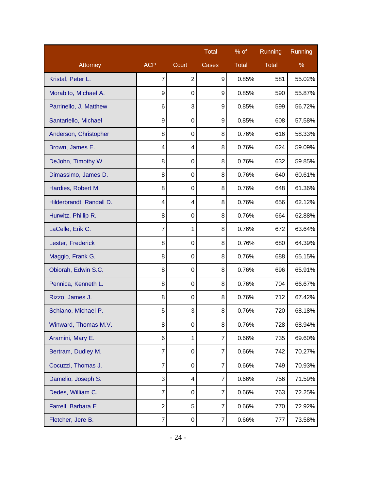|                          |                |                | <b>Total</b>   | % of         | Running      | Running |
|--------------------------|----------------|----------------|----------------|--------------|--------------|---------|
| Attorney                 | <b>ACP</b>     | Court          | Cases          | <b>Total</b> | <b>Total</b> | %       |
| Kristal, Peter L.        | $\overline{7}$ | $\overline{2}$ | 9              | 0.85%        | 581          | 55.02%  |
| Morabito, Michael A.     | 9              | 0              | 9              | 0.85%        | 590          | 55.87%  |
| Parrinello, J. Matthew   | 6              | 3              | 9              | 0.85%        | 599          | 56.72%  |
| Santariello, Michael     | 9              | $\mathbf 0$    | 9              | 0.85%        | 608          | 57.58%  |
| Anderson, Christopher    | 8              | $\mathbf 0$    | 8              | 0.76%        | 616          | 58.33%  |
| Brown, James E.          | 4              | 4              | 8              | 0.76%        | 624          | 59.09%  |
| DeJohn, Timothy W.       | 8              | $\mathbf 0$    | 8              | 0.76%        | 632          | 59.85%  |
| Dimassimo, James D.      | 8              | $\mathbf 0$    | 8              | 0.76%        | 640          | 60.61%  |
| Hardies, Robert M.       | 8              | 0              | 8              | 0.76%        | 648          | 61.36%  |
| Hilderbrandt, Randall D. | 4              | 4              | 8              | 0.76%        | 656          | 62.12%  |
| Hurwitz, Phillip R.      | 8              | 0              | 8              | 0.76%        | 664          | 62.88%  |
| LaCelle, Erik C.         | 7              | 1              | 8              | 0.76%        | 672          | 63.64%  |
| Lester, Frederick        | 8              | 0              | 8              | 0.76%        | 680          | 64.39%  |
| Maggio, Frank G.         | 8              | 0              | 8              | 0.76%        | 688          | 65.15%  |
| Obiorah, Edwin S.C.      | 8              | 0              | 8              | 0.76%        | 696          | 65.91%  |
| Pennica, Kenneth L.      | 8              | $\mathbf 0$    | 8              | 0.76%        | 704          | 66.67%  |
| Rizzo, James J.          | 8              | 0              | 8              | 0.76%        | 712          | 67.42%  |
| Schiano, Michael P.      | 5              | 3              | 8              | 0.76%        | 720          | 68.18%  |
| Winward, Thomas M.V.     | 8              | 0              | 8              | 0.76%        | 728          | 68.94%  |
| Aramini, Mary E.         | 6              | 1              | $\overline{7}$ | 0.66%        | 735          | 69.60%  |
| Bertram, Dudley M.       | $\overline{7}$ | 0              | 7              | 0.66%        | 742          | 70.27%  |
| Cocuzzi, Thomas J.       | 7              | 0              | 7              | 0.66%        | 749          | 70.93%  |
| Damelio, Joseph S.       | 3              | 4              | $\overline{7}$ | 0.66%        | 756          | 71.59%  |
| Dedes, William C.        | $\overline{7}$ | 0              | 7              | 0.66%        | 763          | 72.25%  |
| Farrell, Barbara E.      | $\overline{2}$ | 5              | 7              | 0.66%        | 770          | 72.92%  |
| Fletcher, Jere B.        | $\overline{7}$ | 0              | $\overline{7}$ | 0.66%        | 777          | 73.58%  |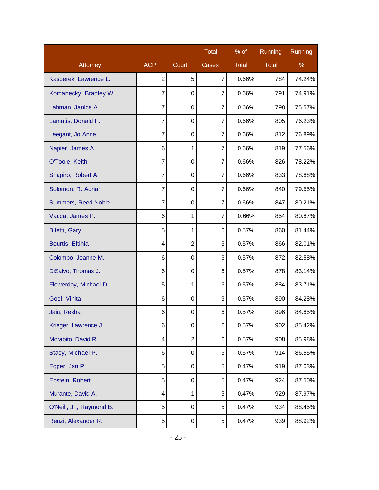|                          |                |                  | <b>Total</b>   | $%$ of | Running      | Running |
|--------------------------|----------------|------------------|----------------|--------|--------------|---------|
| Attorney                 | <b>ACP</b>     | Court            | Cases          | Total  | <b>Total</b> | %       |
| Kasperek, Lawrence L.    | $\overline{2}$ | 5                | 7              | 0.66%  | 784          | 74.24%  |
| Komanecky, Bradley W.    | 7              | $\mathbf 0$      | $\overline{7}$ | 0.66%  | 791          | 74.91%  |
| Lahman, Janice A.        | 7              | $\mathbf 0$      | 7              | 0.66%  | 798          | 75.57%  |
| Lamutis, Donald F.       | 7              | 0                | 7              | 0.66%  | 805          | 76.23%  |
| Leegant, Jo Anne         | 7              | $\mathbf 0$      | 7              | 0.66%  | 812          | 76.89%  |
| Napier, James A.         | 6              | 1                | $\overline{7}$ | 0.66%  | 819          | 77.56%  |
| O'Toole, Keith           | 7              | 0                | 7              | 0.66%  | 826          | 78.22%  |
| Shapiro, Robert A.       | 7              | $\mathbf 0$      | 7              | 0.66%  | 833          | 78.88%  |
| Solomon, R. Adrian       | 7              | $\mathbf 0$      | 7              | 0.66%  | 840          | 79.55%  |
| Summers, Reed Noble      | 7              | 0                | 7              | 0.66%  | 847          | 80.21%  |
| Vacca, James P.          | 6              | 1                | 7              | 0.66%  | 854          | 80.87%  |
| <b>Bitetti, Gary</b>     | 5              | $\mathbf{1}$     | 6              | 0.57%  | 860          | 81.44%  |
| Bourtis, Eftihia         | 4              | $\overline{2}$   | 6              | 0.57%  | 866          | 82.01%  |
| Colombo, Jeanne M.       | 6              | $\mathbf 0$      | 6              | 0.57%  | 872          | 82.58%  |
| DiSalvo, Thomas J.       | 6              | 0                | 6              | 0.57%  | 878          | 83.14%  |
| Flowerday, Michael D.    | 5              | 1                | 6              | 0.57%  | 884          | 83.71%  |
| Goel, Vinita             | 6              | $\mathbf 0$      | 6              | 0.57%  | 890          | 84.28%  |
| Jain, Rekha              | 6              | $\boldsymbol{0}$ | 6              | 0.57%  | 896          | 84.85%  |
| Krieger, Lawrence J.     | 6              | 0                | 6              | 0.57%  | 902          | 85.42%  |
| Morabito, David R.       | 4              | $\overline{2}$   | 6              | 0.57%  | 908          | 85.98%  |
| Stacy, Michael P.        | 6              | $\boldsymbol{0}$ | 6              | 0.57%  | 914          | 86.55%  |
| Egger, Jan P.            | 5              | $\boldsymbol{0}$ | 5              | 0.47%  | 919          | 87.03%  |
| Epstein, Robert          | 5              | $\mathbf 0$      | 5              | 0.47%  | 924          | 87.50%  |
| Murante, David A.        | 4              | $\mathbf{1}$     | 5              | 0.47%  | 929          | 87.97%  |
| O'Neill, Jr., Raymond B. | 5              | $\boldsymbol{0}$ | 5              | 0.47%  | 934          | 88.45%  |
| Renzi, Alexander R.      | 5              | 0                | 5              | 0.47%  | 939          | 88.92%  |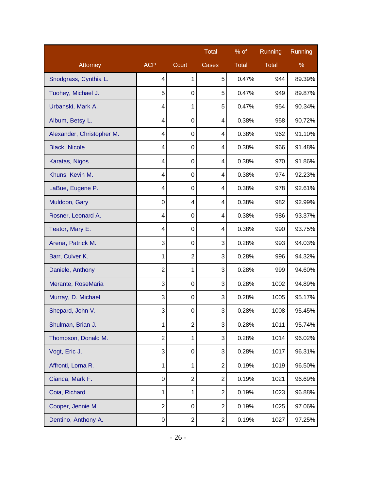|                           |                |                | <b>Total</b>   | $%$ of       | Running      | Running |
|---------------------------|----------------|----------------|----------------|--------------|--------------|---------|
| Attorney                  | <b>ACP</b>     | Court          | Cases          | <b>Total</b> | <b>Total</b> | %       |
| Snodgrass, Cynthia L.     | 4              | 1              | 5              | 0.47%        | 944          | 89.39%  |
| Tuohey, Michael J.        | 5              | $\mathbf 0$    | 5              | 0.47%        | 949          | 89.87%  |
| Urbanski, Mark A.         | 4              | 1              | 5              | 0.47%        | 954          | 90.34%  |
| Album, Betsy L.           | 4              | 0              | 4              | 0.38%        | 958          | 90.72%  |
| Alexander, Christopher M. | 4              | 0              | 4              | 0.38%        | 962          | 91.10%  |
| <b>Black, Nicole</b>      | 4              | 0              | 4              | 0.38%        | 966          | 91.48%  |
| Karatas, Nigos            | 4              | 0              | 4              | 0.38%        | 970          | 91.86%  |
| Khuns, Kevin M.           | 4              | 0              | 4              | 0.38%        | 974          | 92.23%  |
| LaBue, Eugene P.          | 4              | 0              | 4              | 0.38%        | 978          | 92.61%  |
| Muldoon, Gary             | 0              | 4              | 4              | 0.38%        | 982          | 92.99%  |
| Rosner, Leonard A.        | 4              | 0              | 4              | 0.38%        | 986          | 93.37%  |
| Teator, Mary E.           | 4              | 0              | 4              | 0.38%        | 990          | 93.75%  |
| Arena, Patrick M.         | 3              | 0              | 3              | 0.28%        | 993          | 94.03%  |
| Barr, Culver K.           | 1              | $\overline{2}$ | 3              | 0.28%        | 996          | 94.32%  |
| Daniele, Anthony          | 2              | 1              | 3              | 0.28%        | 999          | 94.60%  |
| Merante, RoseMaria        | 3              | 0              | 3              | 0.28%        | 1002         | 94.89%  |
| Murray, D. Michael        | 3              | 0              | 3              | 0.28%        | 1005         | 95.17%  |
| Shepard, John V.          | 3              | $\mathbf 0$    | 3              | 0.28%        | 1008         | 95.45%  |
| Shulman, Brian J.         | 1              | 2              | 3              | 0.28%        | 1011         | 95.74%  |
| Thompson, Donald M.       | $\overline{2}$ | 1              | 3              | 0.28%        | 1014         | 96.02%  |
| Vogt, Eric J.             | 3              | 0              | 3              | 0.28%        | 1017         | 96.31%  |
| Affronti, Lorna R.        | 1              | 1              | $\overline{2}$ | 0.19%        | 1019         | 96.50%  |
| Cianca, Mark F.           | 0              | $\overline{2}$ | $\overline{2}$ | 0.19%        | 1021         | 96.69%  |
| Coia, Richard             | 1              | 1              | $\overline{2}$ | 0.19%        | 1023         | 96.88%  |
| Cooper, Jennie M.         | $\overline{2}$ | 0              | $\overline{2}$ | 0.19%        | 1025         | 97.06%  |
| Dentino, Anthony A.       | 0              | $\overline{2}$ | $\overline{2}$ | 0.19%        | 1027         | 97.25%  |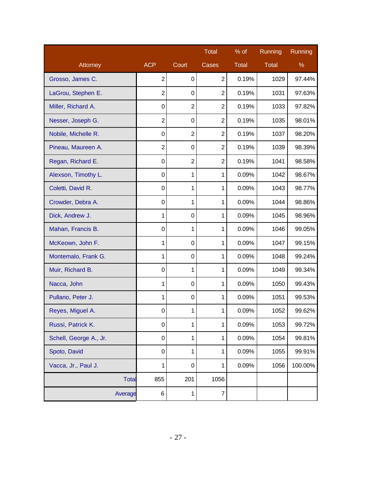|                        |                  |                | <b>Total</b>   | $%$ of       | Running      | Running |
|------------------------|------------------|----------------|----------------|--------------|--------------|---------|
| Attorney               | <b>ACP</b>       | Court          | Cases          | <b>Total</b> | <b>Total</b> | $\%$    |
| Grosso, James C.       | $\overline{2}$   | 0              | $\overline{2}$ | 0.19%        | 1029         | 97.44%  |
| LaGrou, Stephen E.     | $\overline{2}$   | 0              | $\overline{2}$ | 0.19%        | 1031         | 97.63%  |
| Miller, Richard A.     | 0                | $\overline{2}$ | $\overline{2}$ | 0.19%        | 1033         | 97.82%  |
| Nesser, Joseph G.      | $\overline{2}$   | 0              | $\overline{2}$ | 0.19%        | 1035         | 98.01%  |
| Nobile, Michelle R.    | $\boldsymbol{0}$ | $\overline{2}$ | $\overline{2}$ | 0.19%        | 1037         | 98.20%  |
| Pineau, Maureen A.     | $\overline{2}$   | 0              | $\overline{2}$ | 0.19%        | 1039         | 98.39%  |
| Regan, Richard E.      | $\mathbf 0$      | $\overline{2}$ | $\overline{2}$ | 0.19%        | 1041         | 98.58%  |
| Alexson, Timothy L.    | 0                | 1              | $\mathbf{1}$   | 0.09%        | 1042         | 98.67%  |
| Coletti, David R.      | 0                | 1              | $\mathbf{1}$   | 0.09%        | 1043         | 98.77%  |
| Crowder, Debra A.      | $\mathbf 0$      | 1              | 1              | 0.09%        | 1044         | 98.86%  |
| Dick, Andrew J.        | 1                | 0              | 1              | 0.09%        | 1045         | 98.96%  |
| Mahan, Francis B.      | $\mathbf 0$      | 1              | $\mathbf{1}$   | 0.09%        | 1046         | 99.05%  |
| McKeown, John F.       | 1                | 0              | 1              | 0.09%        | 1047         | 99.15%  |
| Montemalo, Frank G.    | 1                | 0              | $\mathbf{1}$   | 0.09%        | 1048         | 99.24%  |
| Muir, Richard B.       | $\mathbf 0$      | 1              | $\mathbf{1}$   | 0.09%        | 1049         | 99.34%  |
| Nacca, John            | 1                | $\mathbf 0$    | 1              | 0.09%        | 1050         | 99.43%  |
| Pullano, Peter J.      | 1                | 0              | 1              | 0.09%        | 1051         | 99.53%  |
| Reyes, Miguel A.       | $\mathbf 0$      | 1              | $\mathbf{1}$   | 0.09%        | 1052         | 99.62%  |
| Russi, Patrick K.      | 0                | 1              | 1              | 0.09%        | 1053         | 99.72%  |
| Schell, George A., Jr. | 0                | 1              | 1              | 0.09%        | 1054         | 99.81%  |
| Spoto, David           | 0                | 1              | 1              | 0.09%        | 1055         | 99.91%  |
| Vacca, Jr., Paul J.    | 1                | $\mathbf 0$    | 1              | 0.09%        | 1056         | 100.00% |
| <b>Total</b>           | 855              | 201            | 1056           |              |              |         |
| Average                | 6                | 1              | $\overline{7}$ |              |              |         |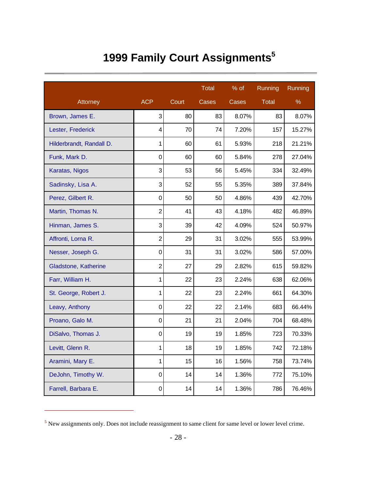# **1999 Family Court Assignments<sup>5</sup>**

|                          |                         |       | <b>Total</b> | % of  | Running      | Running |
|--------------------------|-------------------------|-------|--------------|-------|--------------|---------|
| Attorney                 | <b>ACP</b>              | Court | Cases        | Cases | <b>Total</b> | %       |
| Brown, James E.          | 3                       | 80    | 83           | 8.07% | 83           | 8.07%   |
| Lester, Frederick        | $\overline{\mathbf{4}}$ | 70    | 74           | 7.20% | 157          | 15.27%  |
| Hilderbrandt, Randall D. | 1                       | 60    | 61           | 5.93% | 218          | 21.21%  |
| Funk, Mark D.            | $\overline{0}$          | 60    | 60           | 5.84% | 278          | 27.04%  |
| Karatas, Nigos           | 3                       | 53    | 56           | 5.45% | 334          | 32.49%  |
| Sadinsky, Lisa A.        | 3                       | 52    | 55           | 5.35% | 389          | 37.84%  |
| Perez, Gilbert R.        | $\mathbf 0$             | 50    | 50           | 4.86% | 439          | 42.70%  |
| Martin, Thomas N.        | $\overline{2}$          | 41    | 43           | 4.18% | 482          | 46.89%  |
| Hinman, James S.         | 3                       | 39    | 42           | 4.09% | 524          | 50.97%  |
| Affronti, Lorna R.       | $\overline{2}$          | 29    | 31           | 3.02% | 555          | 53.99%  |
| Nesser, Joseph G.        | $\mathbf 0$             | 31    | 31           | 3.02% | 586          | 57.00%  |
| Gladstone, Katherine     | $\overline{2}$          | 27    | 29           | 2.82% | 615          | 59.82%  |
| Farr, William H.         | 1                       | 22    | 23           | 2.24% | 638          | 62.06%  |
| St. George, Robert J.    | 1                       | 22    | 23           | 2.24% | 661          | 64.30%  |
| Leavy, Anthony           | $\mathbf 0$             | 22    | 22           | 2.14% | 683          | 66.44%  |
| Proano, Galo M.          | $\overline{0}$          | 21    | 21           | 2.04% | 704          | 68.48%  |
| DiSalvo, Thomas J.       | $\mathbf 0$             | 19    | 19           | 1.85% | 723          | 70.33%  |
| Levitt, Glenn R.         | 1                       | 18    | 19           | 1.85% | 742          | 72.18%  |
| Aramini, Mary E.         | 1                       | 15    | 16           | 1.56% | 758          | 73.74%  |
| DeJohn, Timothy W.       | $\mathbf 0$             | 14    | 14           | 1.36% | 772          | 75.10%  |
| Farrell, Barbara E.      | $\mathsf 0$             | 14    | 14           | 1.36% | 786          | 76.46%  |

<sup>5</sup> New assignments only. Does not include reassignment to same client for same level or lower level crime.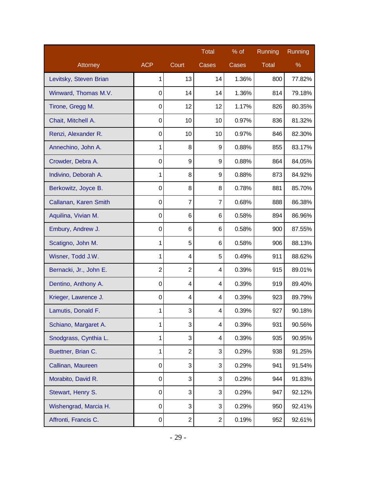|                        |                |                | <b>Total</b>     | % of  | Running | Running |
|------------------------|----------------|----------------|------------------|-------|---------|---------|
| Attorney               | <b>ACP</b>     | Court          | Cases            | Cases | Total   | %       |
| Levitsky, Steven Brian | 1              | 13             | 14               | 1.36% | 800     | 77.82%  |
| Winward, Thomas M.V.   | 0              | 14             | 14               | 1.36% | 814     | 79.18%  |
| Tirone, Gregg M.       | $\mathbf 0$    | 12             | 12               | 1.17% | 826     | 80.35%  |
| Chait, Mitchell A.     | $\mathbf 0$    | 10             | 10               | 0.97% | 836     | 81.32%  |
| Renzi, Alexander R.    | 0              | 10             | 10               | 0.97% | 846     | 82.30%  |
| Annechino, John A.     | 1              | 8              | 9                | 0.88% | 855     | 83.17%  |
| Crowder, Debra A.      | $\mathbf 0$    | 9              | 9                | 0.88% | 864     | 84.05%  |
| Indivino, Deborah A.   | 1              | 8              | 9                | 0.88% | 873     | 84.92%  |
| Berkowitz, Joyce B.    | $\mathbf 0$    | 8              | 8                | 0.78% | 881     | 85.70%  |
| Callanan, Karen Smith  | $\mathbf 0$    | 7              | 7                | 0.68% | 888     | 86.38%  |
| Aquilina, Vivian M.    | 0              | 6              | 6                | 0.58% | 894     | 86.96%  |
| Embury, Andrew J.      | $\mathbf 0$    | 6              | 6                | 0.58% | 900     | 87.55%  |
| Scatigno, John M.      | 1              | 5              | 6                | 0.58% | 906     | 88.13%  |
| Wisner, Todd J.W.      | 1              | 4              | 5                | 0.49% | 911     | 88.62%  |
| Bernacki, Jr., John E. | $\overline{2}$ | $\overline{2}$ | 4                | 0.39% | 915     | 89.01%  |
| Dentino, Anthony A.    | $\mathbf 0$    | 4              | 4                | 0.39% | 919     | 89.40%  |
| Krieger, Lawrence J.   | 0              | 4              | 4                | 0.39% | 923     | 89.79%  |
| Lamutis, Donald F.     | 1              | 3              | 4                | 0.39% | 927     | 90.18%  |
| Schiano, Margaret A.   | 1              | 3              | 4                | 0.39% | 931     | 90.56%  |
| Snodgrass, Cynthia L.  | $\mathbf{1}$   | 3              | 4                | 0.39% | 935     | 90.95%  |
| Buettner, Brian C.     | 1              | $\overline{2}$ | 3                | 0.29% | 938     | 91.25%  |
| Callinan, Maureen      | 0              | 3              | 3                | 0.29% | 941     | 91.54%  |
| Morabito, David R.     | 0              | 3              | 3                | 0.29% | 944     | 91.83%  |
| Stewart, Henry S.      | $\mathsf 0$    | 3              | 3                | 0.29% | 947     | 92.12%  |
| Wishengrad, Marcia H.  | 0              | 3              | 3                | 0.29% | 950     | 92.41%  |
| Affronti, Francis C.   | 0              | $\overline{c}$ | $\boldsymbol{2}$ | 0.19% | 952     | 92.61%  |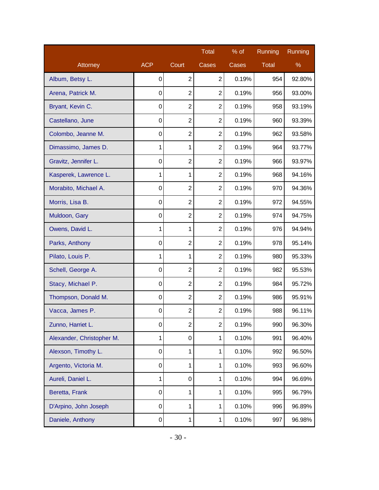|                           |              |                | <b>Total</b>   | % of  | Running      | Running |
|---------------------------|--------------|----------------|----------------|-------|--------------|---------|
| Attorney                  | <b>ACP</b>   | Court          | Cases          | Cases | <b>Total</b> | %       |
| Album, Betsy L.           | 0            | $\overline{2}$ | $\overline{2}$ | 0.19% | 954          | 92.80%  |
| Arena, Patrick M.         | 0            | $\overline{2}$ | $\overline{2}$ | 0.19% | 956          | 93.00%  |
| Bryant, Kevin C.          | $\mathbf 0$  | $\overline{2}$ | $\overline{2}$ | 0.19% | 958          | 93.19%  |
| Castellano, June          | 0            | $\overline{2}$ | $\overline{2}$ | 0.19% | 960          | 93.39%  |
| Colombo, Jeanne M.        | 0            | $\overline{2}$ | $\overline{2}$ | 0.19% | 962          | 93.58%  |
| Dimassimo, James D.       | 1            | 1              | $\overline{2}$ | 0.19% | 964          | 93.77%  |
| Gravitz, Jennifer L.      | 0            | $\overline{2}$ | $\overline{2}$ | 0.19% | 966          | 93.97%  |
| Kasperek, Lawrence L.     | 1            | 1              | $\overline{2}$ | 0.19% | 968          | 94.16%  |
| Morabito, Michael A.      | $\mathbf 0$  | $\overline{2}$ | $\overline{2}$ | 0.19% | 970          | 94.36%  |
| Morris, Lisa B.           | 0            | $\overline{2}$ | $\overline{2}$ | 0.19% | 972          | 94.55%  |
| Muldoon, Gary             | 0            | $\overline{2}$ | $\overline{2}$ | 0.19% | 974          | 94.75%  |
| Owens, David L.           | 1            | 1              | $\overline{2}$ | 0.19% | 976          | 94.94%  |
| Parks, Anthony            | $\mathbf 0$  | $\overline{2}$ | $\overline{2}$ | 0.19% | 978          | 95.14%  |
| Pilato, Louis P.          | 1            | 1              | $\overline{2}$ | 0.19% | 980          | 95.33%  |
| Schell, George A.         | 0            | $\overline{2}$ | $\overline{2}$ | 0.19% | 982          | 95.53%  |
| Stacy, Michael P.         | 0            | $\overline{2}$ | $\overline{2}$ | 0.19% | 984          | 95.72%  |
| Thompson, Donald M.       | 0            | $\overline{2}$ | $\overline{2}$ | 0.19% | 986          | 95.91%  |
| Vacca, James P.           | $\mathsf 0$  | $\overline{2}$ | $\overline{2}$ | 0.19% | 988          | 96.11%  |
| Zunno, Harriet L.         | 0            | 2              | 2              | 0.19% | 990          | 96.30%  |
| Alexander, Christopher M. | $\mathbf{1}$ | 0              | 1              | 0.10% | 991          | 96.40%  |
| Alexson, Timothy L.       | 0            | 1              | 1              | 0.10% | 992          | 96.50%  |
| Argento, Victoria M.      | 0            | 1              | 1              | 0.10% | 993          | 96.60%  |
| Aureli, Daniel L.         | 1            | 0              | 1              | 0.10% | 994          | 96.69%  |
| Beretta, Frank            | $\mathsf 0$  | 1              | 1              | 0.10% | 995          | 96.79%  |
| D'Arpino, John Joseph     | 0            | 1              | 1              | 0.10% | 996          | 96.89%  |
| Daniele, Anthony          | 0            | 1              | 1              | 0.10% | 997          | 96.98%  |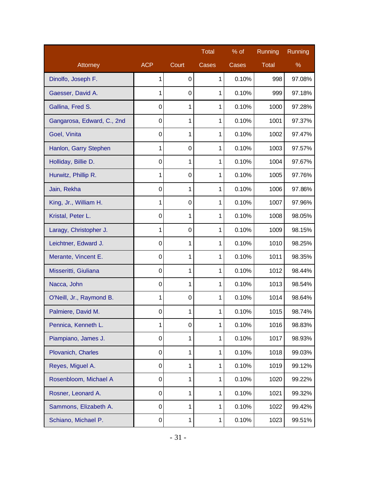|                            |             |                  | <b>Total</b> | $%$ of | Running | Running |
|----------------------------|-------------|------------------|--------------|--------|---------|---------|
| Attorney                   | <b>ACP</b>  | Court            | Cases        | Cases  | Total   | %       |
| Dinolfo, Joseph F.         | 1           | 0                | 1            | 0.10%  | 998     | 97.08%  |
| Gaesser, David A.          | 1           | 0                | 1            | 0.10%  | 999     | 97.18%  |
| Gallina, Fred S.           | 0           | 1                | 1            | 0.10%  | 1000    | 97.28%  |
| Gangarosa, Edward, C., 2nd | 0           | 1                | 1            | 0.10%  | 1001    | 97.37%  |
| Goel, Vinita               | $\mathbf 0$ | 1                | 1            | 0.10%  | 1002    | 97.47%  |
| Hanlon, Garry Stephen      | 1           | $\mathbf 0$      | 1            | 0.10%  | 1003    | 97.57%  |
| Holliday, Billie D.        | 0           | 1                | 1            | 0.10%  | 1004    | 97.67%  |
| Hurwitz, Phillip R.        | 1           | $\boldsymbol{0}$ | 1            | 0.10%  | 1005    | 97.76%  |
| Jain, Rekha                | $\mathbf 0$ | 1                | 1            | 0.10%  | 1006    | 97.86%  |
| King, Jr., William H.      | 1           | 0                | 1            | 0.10%  | 1007    | 97.96%  |
| Kristal, Peter L.          | $\mathbf 0$ | 1                | 1            | 0.10%  | 1008    | 98.05%  |
| Laragy, Christopher J.     | 1           | $\boldsymbol{0}$ | 1            | 0.10%  | 1009    | 98.15%  |
| Leichtner, Edward J.       | 0           | 1                | 1            | 0.10%  | 1010    | 98.25%  |
| Merante, Vincent E.        | $\mathbf 0$ | 1                | 1            | 0.10%  | 1011    | 98.35%  |
| Misseritti, Giuliana       | $\mathbf 0$ | 1                | 1            | 0.10%  | 1012    | 98.44%  |
| Nacca, John                | 0           | 1                | 1            | 0.10%  | 1013    | 98.54%  |
| O'Neill, Jr., Raymond B.   | 1           | $\boldsymbol{0}$ | 1            | 0.10%  | 1014    | 98.64%  |
| Palmiere, David M.         | $\mathbf 0$ | 1                | 1            | 0.10%  | 1015    | 98.74%  |
| Pennica, Kenneth L.        | 1           | $\boldsymbol{0}$ | 1            | 0.10%  | 1016    | 98.83%  |
| Piampiano, James J.        | 0           | 1                | 1            | 0.10%  | 1017    | 98.93%  |
| Plovanich, Charles         | 0           | 1                | 1            | 0.10%  | 1018    | 99.03%  |
| Reyes, Miguel A.           | 0           | 1                | 1            | 0.10%  | 1019    | 99.12%  |
| Rosenbloom, Michael A      | 0           | 1                | 1            | 0.10%  | 1020    | 99.22%  |
| Rosner, Leonard A.         | 0           | 1                | $\mathbf{1}$ | 0.10%  | 1021    | 99.32%  |
| Sammons, Elizabeth A.      | 0           | 1                | $\mathbf{1}$ | 0.10%  | 1022    | 99.42%  |
| Schiano, Michael P.        | 0           | 1                | 1            | 0.10%  | 1023    | 99.51%  |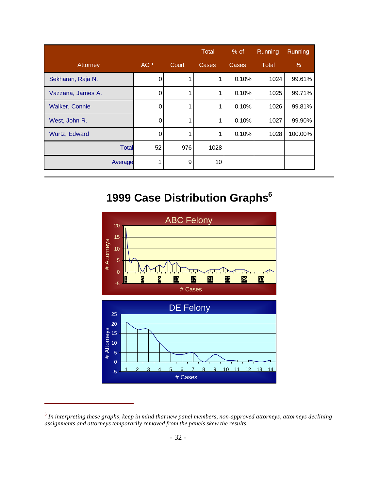|                       |            |       | Total | $%$ of | Running | <b>Running</b> |
|-----------------------|------------|-------|-------|--------|---------|----------------|
| Attorney              | <b>ACP</b> | Court | Cases | Cases  | Total   | $\%$           |
| Sekharan, Raja N.     | 0          | 1     |       | 0.10%  | 1024    | 99.61%         |
| Vazzana, James A.     | 0          | 1     | 1     | 0.10%  | 1025    | 99.71%         |
| <b>Walker, Connie</b> | 0          | 1     | 1     | 0.10%  | 1026    | 99.81%         |
| West, John R.         | 0          | 1     | 1     | 0.10%  | 1027    | 99.90%         |
| Wurtz, Edward         | 0          | 1     | 1     | 0.10%  | 1028    | 100.00%        |
| <b>Total</b>          | 52         | 976   | 1028  |        |         |                |
| Average               |            | 9     | 10    |        |         |                |

### **1999 Case Distribution Graphs<sup>6</sup>**



<sup>6</sup> *In interpreting these graphs, keep in mind that new panel members, non-approved attorneys, attorneys declining assignments and attorneys temporarily removed from the panels skew the results.*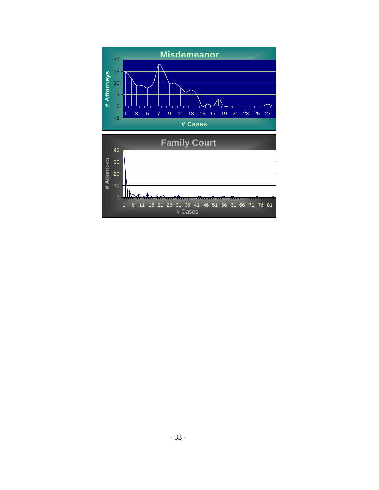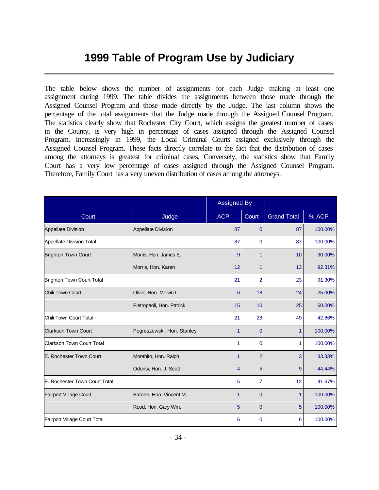#### **1999 Table of Program Use by Judiciary**

The table below shows the number of assignments for each Judge making at least one assignment during 1999. The table divides the assignments between those made through the Assigned Counsel Program and those made directly by the Judge. The last column shows the percentage of the total assignments that the Judge made through the Assigned Counsel Program. The statistics clearly show that Rochester City Court, which assigns the greatest number of cases in the County, is very high in percentage of cases assigned through the Assigned Counsel Program. Increasingly in 1999, the Local Criminal Courts assigned exclusively through the Assigned Counsel Program. These facts directly correlate to the fact that the distribution of cases among the attorneys is greatest for criminal cases. Conversely, the statistics show that Family Court has a very low percentage of cases assigned through the Assigned Counsel Program. Therefore, Family Court has a very uneven distribution of cases among the attorneys.

|                                  |                            | <b>Assigned By</b> |                |                    |         |
|----------------------------------|----------------------------|--------------------|----------------|--------------------|---------|
| Court                            | Judge                      | <b>ACP</b>         | Court          | <b>Grand Total</b> | % ACP   |
| <b>Appellate Division</b>        | <b>Appellate Division</b>  | 87                 | $\mathbf 0$    | 87                 | 100.00% |
| Appellate Division Total         |                            | 87                 | $\mathbf{0}$   | 87                 | 100.00% |
| <b>Brighton Town Court</b>       | Morris, Hon. James E.      | 9                  | $\overline{1}$ | 10                 | 90.00%  |
|                                  | Morris, Hon. Karen         | 12                 | $\mathbf{1}$   | 13                 | 92.31%  |
| Brighton Town Court Total        |                            | 21                 | $\overline{2}$ | 23                 | 91.30%  |
| <b>Chili Town Court</b>          | Olver, Hon. Melvin L.      | 6                  | 18             | 24                 | 25.00%  |
|                                  | Pietropaoli, Hon. Patrick  | 15                 | 10             | 25                 | 60.00%  |
| Chili Town Court Total           |                            | 21                 | 28             | 49                 | 42.86%  |
| <b>Clarkson Town Court</b>       | Pogroszewski, Hon. Stanley | $\mathbf{1}$       | $\mathbf{0}$   | $\mathbf{1}$       | 100.00% |
| <b>Clarkson Town Court Total</b> |                            | 1                  | $\mathbf{0}$   | 1                  | 100.00% |
| E. Rochester Town Court          | Morabito, Hon. Ralph       | $\mathbf{1}$       | $\overline{2}$ | 3                  | 33.33%  |
|                                  | Odorisi, Hon. J. Scott     | $\overline{4}$     | 5              | 9                  | 44.44%  |
| E. Rochester Town Court Total    |                            | 5                  | $\overline{7}$ | 12                 | 41.67%  |
| <b>Fairport Village Court</b>    | Barone, Hon. Vincent M.    | 1                  | $\mathbf 0$    | 1                  | 100.00% |
|                                  | Rood, Hon. Gary Wm.        | 5                  | $\overline{0}$ | 5                  | 100.00% |
| Fairport Village Court Total     |                            | 6                  | $\mathbf{0}$   | 6                  | 100.00% |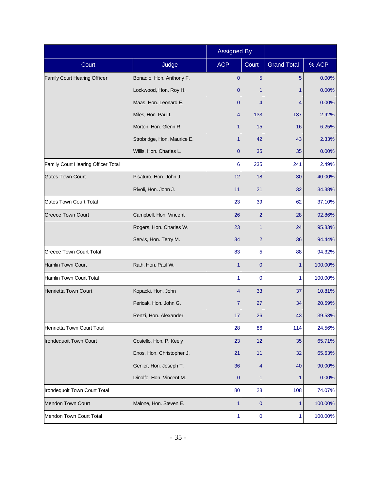|                                     |                             | <b>Assigned By</b> |                |                    |         |
|-------------------------------------|-----------------------------|--------------------|----------------|--------------------|---------|
| Court                               | Judge                       | <b>ACP</b>         | Court          | <b>Grand Total</b> | % ACP   |
| <b>Family Court Hearing Officer</b> | Bonadio, Hon. Anthony F.    | $\mathbf{0}$       | 5              | 5                  | 0.00%   |
|                                     | Lockwood, Hon. Roy H.       | $\mathbf{0}$       | 1              | 1                  | 0.00%   |
|                                     | Maas, Hon. Leonard E.       | $\mathbf{0}$       | 4              | 4                  | 0.00%   |
|                                     | Miles, Hon. Paul I.         | 4                  | 133            | 137                | 2.92%   |
|                                     | Morton, Hon. Glenn R.       | 1                  | 15             | 16                 | 6.25%   |
|                                     | Strobridge, Hon. Maurice E. | 1                  | 42             | 43                 | 2.33%   |
|                                     | Willis, Hon. Charles L.     | $\overline{0}$     | 35             | 35                 | 0.00%   |
| Family Court Hearing Officer Total  |                             | 6                  | 235            | 241                | 2.49%   |
| <b>Gates Town Court</b>             | Pisaturo, Hon. John J.      | 12                 | 18             | 30                 | 40.00%  |
|                                     | Rivoli, Hon. John J.        | 11                 | 21             | 32                 | 34.38%  |
| <b>Gates Town Court Total</b>       |                             | 23                 | 39             | 62                 | 37.10%  |
| <b>Greece Town Court</b>            | Campbell, Hon. Vincent      | 26                 | $\overline{2}$ | 28                 | 92.86%  |
|                                     | Rogers, Hon. Charles W.     | 23                 | $\mathbf{1}$   | 24                 | 95.83%  |
|                                     | Servis, Hon. Terry M.       | 34                 | $\overline{2}$ | 36                 | 94.44%  |
| <b>Greece Town Court Total</b>      |                             | 83                 | 5              | 88                 | 94.32%  |
| Hamlin Town Court                   | Rath, Hon. Paul W.          | $\mathbf{1}$       | $\overline{0}$ | 1                  | 100.00% |
| Hamlin Town Court Total             |                             | 1                  | $\mathbf 0$    | 1                  | 100.00% |
| Henrietta Town Court                | Kopacki, Hon. John          | $\overline{4}$     | 33             | 37                 | 10.81%  |
|                                     | Pericak, Hon. John G.       | 7                  | 27             | 34                 | 20.59%  |
|                                     | Renzi, Hon. Alexander       | 17                 | 26             | 43                 | 39.53%  |
| Henrietta Town Court Total          |                             | 28                 | 86             | 114                | 24.56%  |
| Irondequoit Town Court              | Costello, Hon. P. Keely     | 23                 | 12             | 35                 | 65.71%  |
|                                     | Enos, Hon. Christopher J.   | 21                 | 11             | 32                 | 65.63%  |
|                                     | Genier, Hon. Joseph T.      | 36                 | $\overline{4}$ | 40                 | 90.00%  |
|                                     | Dinolfo, Hon. Vincent M.    | $\mathbf{0}$       | $\mathbf{1}$   | 1                  | 0.00%   |
| Irondequoit Town Court Total        |                             | 80                 | 28             | 108                | 74.07%  |
| Mendon Town Court                   | Malone, Hon. Steven E.      | $\mathbf{1}$       | $\pmb{0}$      | 1                  | 100.00% |
| Mendon Town Court Total             |                             | 1                  | $\pmb{0}$      | 1                  | 100.00% |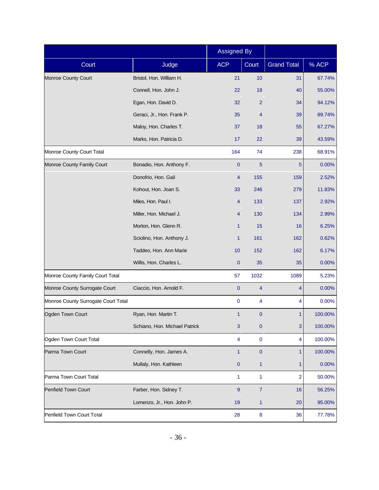|                                     |                               | <b>Assigned By</b> |                  |                    |         |
|-------------------------------------|-------------------------------|--------------------|------------------|--------------------|---------|
| Court                               | Judge                         | <b>ACP</b>         | Court            | <b>Grand Total</b> | % ACP   |
| Monroe County Court                 | Bristol, Hon. William H.      | 21                 | 10               | 31                 | 67.74%  |
|                                     | Connell, Hon. John J.         | 22                 | 18               | 40                 | 55.00%  |
|                                     | Egan, Hon. David D.           | 32                 | $\overline{2}$   | 34                 | 94.12%  |
|                                     | Geraci, Jr., Hon. Frank P.    | 35                 | 4                | 39                 | 89.74%  |
|                                     | Maloy, Hon. Charles T.        | 37                 | 18               | 55                 | 67.27%  |
|                                     | Marks, Hon. Patricia D.       | 17                 | 22               | 39                 | 43.59%  |
| Monroe County Court Total           |                               | 164                | 74               | 238                | 68.91%  |
| Monroe County Family Court          | Bonadio, Hon. Anthony F.      | $\mathbf{0}$       | 5                | 5                  | 0.00%   |
|                                     | Donofrio, Hon. Gail           | 4                  | 155              | 159                | 2.52%   |
|                                     | Kohout, Hon. Joan S.          | 33                 | 246              | 279                | 11.83%  |
|                                     | Miles, Hon. Paul I.           | 4                  | 133              | 137                | 2.92%   |
|                                     | Miller, Hon. Michael J.       | 4                  | 130              | 134                | 2.99%   |
|                                     | Morton, Hon. Glenn R.         | 1                  | 15               | 16                 | 6.25%   |
|                                     | Sciolino, Hon. Anthony J.     | $\mathbf{1}$       | 161              | 162                | 0.62%   |
|                                     | Taddeo, Hon. Ann Marie        | 10                 | 152              | 162                | 6.17%   |
|                                     | Willis, Hon. Charles L.       | $\mathbf{0}$       | 35               | 35                 | 0.00%   |
| Monroe County Family Court Total    |                               | 57                 | 1032             | 1089               | 5.23%   |
| Monroe County Surrogate Court       | Ciaccio, Hon. Arnold F.       | $\mathbf{0}$       | 4                | 4                  | 0.00%   |
| Monroe County Surrogate Court Total |                               | $\pmb{0}$          | 4                | 4                  | 0.00%   |
| Ogden Town Court                    | Ryan, Hon. Martin T.          | $\mathbf{1}$       | $\pmb{0}$        | 1                  | 100.00% |
|                                     | Schiano, Hon. Michael Patrick | 3                  | $\pmb{0}$        | 3                  | 100.00% |
| Ogden Town Court Total              |                               | 4                  | $\pmb{0}$        | 4                  | 100.00% |
| Parma Town Court                    | Connelly, Hon. James A.       | $\mathbf{1}$       | $\pmb{0}$        | 1                  | 100.00% |
|                                     | Mullaly, Hon. Kathleen        | $\pmb{0}$          | $\mathbf{1}$     | 1                  | 0.00%   |
| Parma Town Court Total              |                               | 1                  | 1                | $\overline{2}$     | 50.00%  |
| Penfield Town Court                 | Farber, Hon. Sidney T.        | 9                  | $\boldsymbol{7}$ | 16                 | 56.25%  |
|                                     | Lomenzo, Jr., Hon. John P.    | 19                 | 1                | 20                 | 95.00%  |
| Penfield Town Court Total           |                               | 28                 | 8                | 36                 | 77.78%  |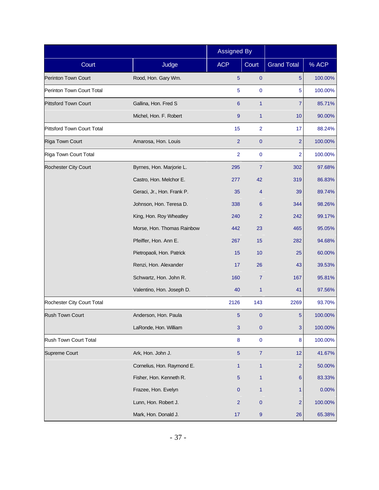|                             |                            | <b>Assigned By</b> |                  |                    |         |
|-----------------------------|----------------------------|--------------------|------------------|--------------------|---------|
| Court                       | Judge                      | <b>ACP</b>         | Court            | <b>Grand Total</b> | % ACP   |
| Perinton Town Court         | Rood, Hon. Gary Wm.        | 5                  | $\mathbf{0}$     | 5                  | 100.00% |
| Perinton Town Court Total   |                            | 5                  | $\mathbf 0$      | 5                  | 100.00% |
| <b>Pittsford Town Court</b> | Gallina, Hon. Fred S       | 6                  | $\mathbf{1}$     | 7                  | 85.71%  |
|                             | Michel, Hon. F. Robert     | 9                  | $\mathbf{1}$     | 10                 | 90.00%  |
| Pittsford Town Court Total  |                            | 15                 | $\overline{2}$   | 17                 | 88.24%  |
| Riga Town Court             | Amarosa, Hon. Louis        | $\overline{2}$     | $\mathbf{0}$     | $\overline{2}$     | 100.00% |
| Riga Town Court Total       |                            | $\overline{2}$     | $\mathbf 0$      | $\overline{2}$     | 100.00% |
| Rochester City Court        | Byrnes, Hon. Marjorie L.   | 295                | $\overline{7}$   | 302                | 97.68%  |
|                             | Castro, Hon. Melchor E.    | 277                | 42               | 319                | 86.83%  |
|                             | Geraci, Jr., Hon. Frank P. | 35                 | 4                | 39                 | 89.74%  |
|                             | Johnson, Hon. Teresa D.    | 338                | 6                | 344                | 98.26%  |
|                             | King, Hon. Roy Wheatley    | 240                | $\overline{2}$   | 242                | 99.17%  |
|                             | Morse, Hon. Thomas Rainbow | 442                | 23               | 465                | 95.05%  |
|                             | Pfeiffer, Hon. Ann E.      | 267                | 15               | 282                | 94.68%  |
|                             | Pietropaoli, Hon. Patrick  | 15                 | 10               | 25                 | 60.00%  |
|                             | Renzi, Hon. Alexander      | 17                 | 26               | 43                 | 39.53%  |
|                             | Schwartz, Hon. John R.     | 160                | $\overline{7}$   | 167                | 95.81%  |
|                             | Valentino, Hon. Joseph D.  | 40                 | $\mathbf{1}$     | 41                 | 97.56%  |
| Rochester City Court Total  |                            | 2126               | 143              | 2269               | 93.70%  |
| <b>Rush Town Court</b>      | Anderson, Hon. Paula       | 5                  | $\pmb{0}$        | 5                  | 100.00% |
|                             | LaRonde, Hon. William      | $\mathbf{3}$       | $\pmb{0}$        | $\mathbf{3}$       | 100.00% |
| Rush Town Court Total       |                            | 8                  | $\pmb{0}$        | 8                  | 100.00% |
| Supreme Court               | Ark, Hon. John J.          | $\overline{5}$     | $\boldsymbol{7}$ | 12                 | 41.67%  |
|                             | Cornelius, Hon. Raymond E. | $\mathbf{1}$       | $\mathbf{1}$     | $\overline{2}$     | 50.00%  |
|                             | Fisher, Hon. Kenneth R.    | 5                  | 1                | 6                  | 83.33%  |
|                             | Frazee, Hon. Evelyn        | $\mathbf{0}$       | $\mathbf{1}$     | 1                  | 0.00%   |
|                             | Lunn, Hon. Robert J.       | $\overline{2}$     | $\pmb{0}$        | $\overline{2}$     | 100.00% |
|                             | Mark, Hon. Donald J.       | 17                 | $\boldsymbol{9}$ | 26                 | 65.38%  |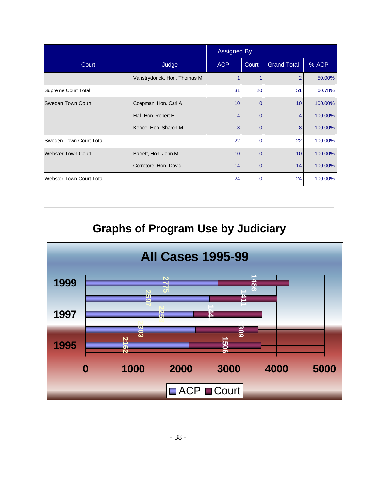|                           |                             | <b>Assigned By</b> |                |                    |         |
|---------------------------|-----------------------------|--------------------|----------------|--------------------|---------|
| Court                     | Judge                       | <b>ACP</b>         | Court          | <b>Grand Total</b> | % ACP   |
|                           | Vanstrydonck, Hon. Thomas M | 1                  |                | 2                  | 50.00%  |
| Supreme Court Total       |                             | 31                 | 20             | 51                 | 60.78%  |
| <b>Sweden Town Court</b>  | Coapman, Hon. Carl A        | 10                 | $\overline{0}$ | 10 <sup>°</sup>    | 100.00% |
|                           | Hall, Hon. Robert E.        | $\overline{4}$     | $\overline{0}$ | $\overline{4}$     | 100.00% |
|                           | Kehoe, Hon. Sharon M.       | 8                  | $\mathbf 0$    | 8                  | 100.00% |
| Sweden Town Court Total   |                             | 22                 | $\mathbf{0}$   | 22                 | 100.00% |
| <b>Webster Town Court</b> | Barrett, Hon. John M.       | 10                 | $\overline{0}$ | 10 <sup>°</sup>    | 100.00% |
|                           | Corretore, Hon. David       | 14                 | $\Omega$       | 14                 | 100.00% |
| Webster Town Court Total  |                             | 24                 | $\mathbf 0$    | 24                 | 100.00% |

**Graphs of Program Use by Judiciary**

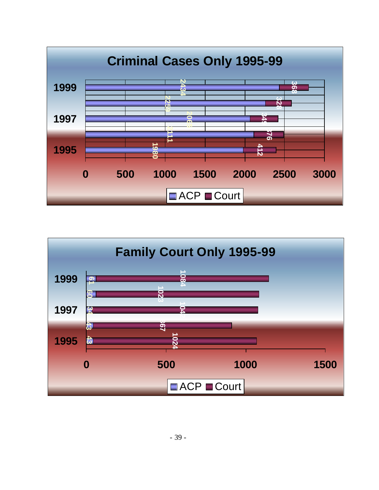

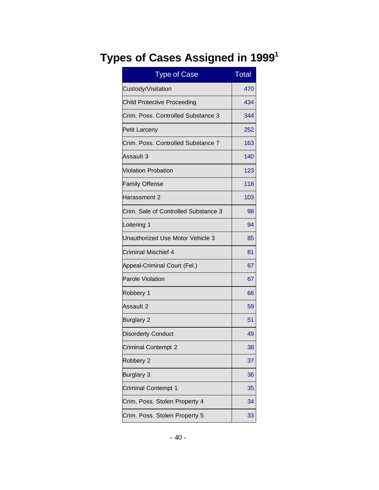#### **Types of Cases Assigned in 1999 1**

| <b>Type of Case</b>                  | <b>Total</b> |
|--------------------------------------|--------------|
| Custody/Visitation                   | 470          |
| <b>Child Protective Proceeding</b>   | 434          |
| Crim. Poss. Controlled Substance 3   | 344          |
| <b>Petit Larceny</b>                 | 252          |
| Crim. Poss. Controlled Substance 7   | 163          |
| Assault 3                            | 140          |
| <b>Violation Probation</b>           | 123          |
| <b>Family Offense</b>                | 118          |
| Harassment 2                         | 103          |
| Crim. Sale of Controlled Substance 3 | 98           |
| Loitering 1                          | 94           |
| Unauthorized Use Motor Vehicle 3     | 85           |
| Criminal Mischief 4                  | 81           |
| Appeal-Criminal Court (Fel.)         | 67           |
| <b>Parole Violation</b>              | 67           |
| Robbery 1                            | 66           |
| Assault 2                            | 59           |
| <b>Burglary 2</b>                    | 51           |
| <b>Disorderly Conduct</b>            | 49           |
| <b>Criminal Contempt 2</b>           | 38           |
| Robbery 2                            | 37           |
| <b>Burglary 3</b>                    | 36           |
| <b>Criminal Contempt 1</b>           | 35           |
| Crim. Poss. Stolen Property 4        | 34           |
| Crim. Poss. Stolen Property 5        | 33           |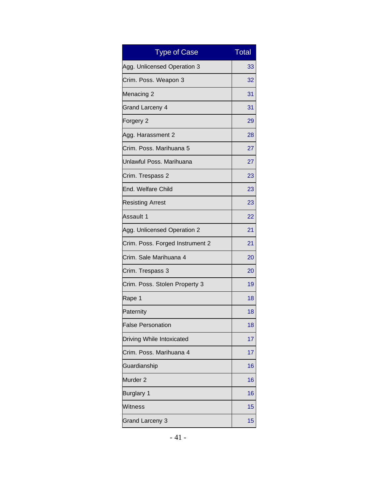| <b>Type of Case</b>             | <b>Total</b> |
|---------------------------------|--------------|
| Agg. Unlicensed Operation 3     | 33           |
| Crim. Poss. Weapon 3            | 32           |
| Menacing 2                      | 31           |
| <b>Grand Larceny 4</b>          | 31           |
| Forgery 2                       | 29           |
| Agg. Harassment 2               | 28           |
| Crim. Poss. Marihuana 5         | 27           |
| Unlawful Poss. Marihuana        | 27           |
| Crim. Trespass 2                | 23           |
| End. Welfare Child              | 23           |
| <b>Resisting Arrest</b>         | 23           |
| Assault 1                       | 22           |
| Agg. Unlicensed Operation 2     | 21           |
| Crim. Poss. Forged Instrument 2 | 21           |
| Crim. Sale Marihuana 4          | 20           |
| Crim. Trespass 3                | 20           |
| Crim. Poss. Stolen Property 3   | 19           |
| Rape 1                          | 18           |
| Paternity                       | 18           |
| <b>False Personation</b>        | 18           |
| Driving While Intoxicated       | 17           |
| Crim. Poss. Marihuana 4         | 17           |
| Guardianship                    | 16           |
| Murder <sub>2</sub>             | 16           |
| <b>Burglary 1</b>               | 16           |
| Witness                         | 15           |
| <b>Grand Larceny 3</b>          | 15           |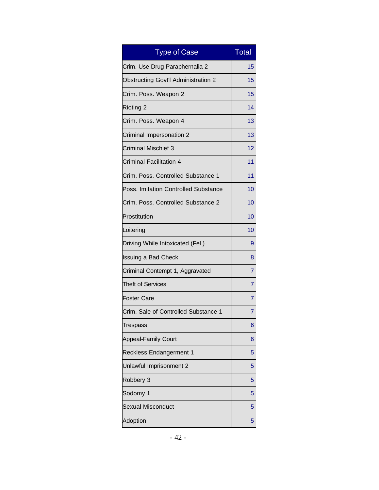| <b>Type of Case</b>                        | <b>Total</b> |
|--------------------------------------------|--------------|
| Crim. Use Drug Paraphernalia 2             | 15           |
| <b>Obstructing Govt'l Administration 2</b> | 15           |
| Crim. Poss. Weapon 2                       | 15           |
| <b>Rioting 2</b>                           | 14           |
| Crim. Poss. Weapon 4                       | 13           |
| Criminal Impersonation 2                   | 13           |
| Criminal Mischief 3                        | 12           |
| <b>Criminal Facilitation 4</b>             | 11           |
| Crim. Poss. Controlled Substance 1         | 11           |
| Poss. Imitation Controlled Substance       | 10           |
| Crim. Poss. Controlled Substance 2         | 10           |
| Prostitution                               | 10           |
| Loitering                                  | 10           |
| Driving While Intoxicated (Fel.)           | 9            |
| <b>Issuing a Bad Check</b>                 | 8            |
| Criminal Contempt 1, Aggravated            | 7            |
| <b>Theft of Services</b>                   | 7            |
| <b>Foster Care</b>                         | 7            |
| Crim. Sale of Controlled Substance 1       | 7            |
| Trespass                                   | 6            |
| <b>Appeal-Family Court</b>                 | 6            |
| <b>Reckless Endangerment 1</b>             | 5            |
| Unlawful Imprisonment 2                    | 5            |
| Robbery 3                                  | 5            |
| Sodomy 1                                   | 5            |
| <b>Sexual Misconduct</b>                   | 5            |
| Adoption                                   | 5            |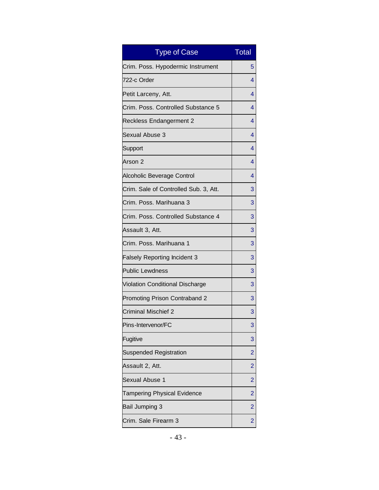| <b>Type of Case</b>                   | <b>Total</b>   |
|---------------------------------------|----------------|
| Crim. Poss. Hypodermic Instrument     | 5              |
| 722-c Order                           | 4              |
| Petit Larceny, Att.                   | 4              |
| Crim. Poss. Controlled Substance 5    | 4              |
| <b>Reckless Endangerment 2</b>        | 4              |
| Sexual Abuse 3                        | 4              |
| Support                               | 4              |
| Arson 2                               | 4              |
| Alcoholic Beverage Control            | 4              |
| Crim. Sale of Controlled Sub. 3, Att. | 3              |
| Crim, Poss, Marihuana 3               | 3              |
| Crim. Poss. Controlled Substance 4    | 3              |
| Assault 3, Att.                       | 3              |
| Crim. Poss. Marihuana 1               | 3              |
| <b>Falsely Reporting Incident 3</b>   | 3              |
| <b>Public Lewdness</b>                | 3              |
| Violation Conditional Discharge       | 3              |
| Promoting Prison Contraband 2         | 3              |
| <b>Criminal Mischief 2</b>            | 3              |
| Pins-Intervenor/FC                    | 3              |
| Fugitive                              | 3              |
| <b>Suspended Registration</b>         | $\overline{2}$ |
| Assault 2, Att.                       | $\overline{2}$ |
| Sexual Abuse 1                        | $\overline{2}$ |
| Tampering Physical Evidence           | $\overline{2}$ |
| Bail Jumping 3                        | $\overline{2}$ |
| Crim. Sale Firearm 3                  | $\overline{2}$ |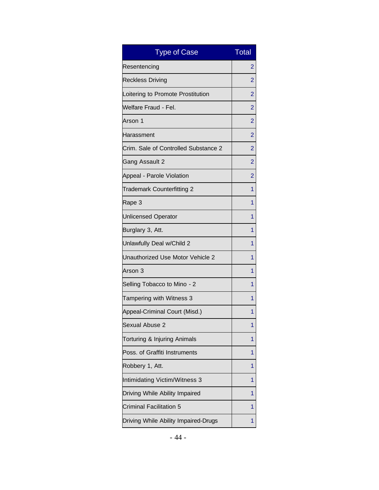| <b>Type of Case</b>                  | <b>Total</b>   |
|--------------------------------------|----------------|
| Resentencing                         | 2              |
| <b>Reckless Driving</b>              | 2              |
| Loitering to Promote Prostitution    | $\overline{2}$ |
| Welfare Fraud - Fel.                 | 2              |
| Arson 1                              | $\overline{2}$ |
| Harassment                           | $\overline{2}$ |
| Crim. Sale of Controlled Substance 2 | 2              |
| Gang Assault 2                       | $\overline{2}$ |
| Appeal - Parole Violation            | $\overline{2}$ |
| Trademark Counterfitting 2           | 1              |
| Rape 3                               | 1              |
| <b>Unlicensed Operator</b>           | 1              |
| Burglary 3, Att.                     | 1              |
| Unlawfully Deal w/Child 2            | 1              |
| Unauthorized Use Motor Vehicle 2     | 1              |
| Arson 3                              | 1              |
| Selling Tobacco to Mino - 2          | 1              |
| Tampering with Witness 3             | 1              |
| Appeal-Criminal Court (Misd.)        | 1              |
| Sexual Abuse 2                       | 1              |
| Torturing & Injuring Animals         | 1              |
| Poss. of Graffiti Instruments        | 1              |
| Robbery 1, Att.                      | 1              |
| Intimidating Victim/Witness 3        | 1              |
| Driving While Ability Impaired       | 1              |
| Criminal Facilitation 5              | 1              |
| Driving While Ability Impaired-Drugs | 1              |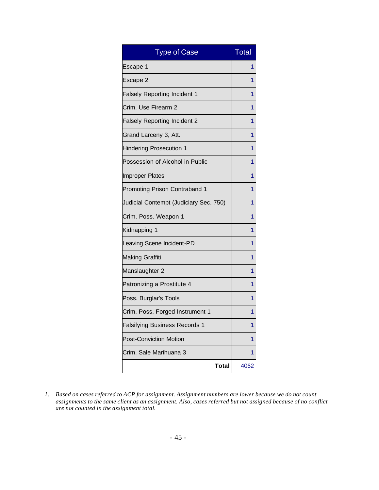| <b>Type of Case</b>                    | <b>Total</b> |
|----------------------------------------|--------------|
| Escape 1                               | 1            |
| Escape 2                               | 1            |
| <b>Falsely Reporting Incident 1</b>    | 1            |
| Crim. Use Firearm 2                    | 1            |
| <b>Falsely Reporting Incident 2</b>    | 1            |
| Grand Larceny 3, Att.                  | 1            |
| <b>Hindering Prosecution 1</b>         | 1            |
| Possession of Alcohol in Public        | 1            |
| <b>Improper Plates</b>                 | 1            |
| Promoting Prison Contraband 1          | 1            |
| Judicial Contempt (Judiciary Sec. 750) | 1            |
| Crim. Poss. Weapon 1                   | 1            |
| Kidnapping 1                           | 1            |
| Leaving Scene Incident-PD              | 1            |
| <b>Making Graffiti</b>                 | 1            |
| Manslaughter 2                         | 1            |
| Patronizing a Prostitute 4             | 1            |
| Poss. Burglar's Tools                  | 1            |
| Crim. Poss. Forged Instrument 1        | 1            |
| <b>Falsifying Business Records 1</b>   | 1            |
| <b>Post-Conviction Motion</b>          | 1            |
| Crim. Sale Marihuana 3                 | 1            |
| <b>Total</b>                           | 4062         |

*1. Based on cases referred to ACP for assignment. Assignment numbers are lower because we do not count assignments to the same client as an assignment. Also, cases referred but not assigned because of no conflict are not counted in the assignment total.*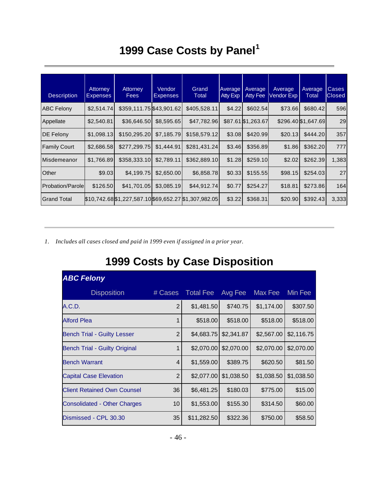## **1999 Case Costs by Panel<sup>1</sup>**

| <b>Description</b>       | Attorney<br><b>Expenses</b> | Attorney<br><b>Fees</b>                               | Vendor<br><b>Expenses</b> | Grand<br>Total | Average<br>Atty Exp | Average<br><b>Atty Fee</b> | Average<br>Vendor Exp | Average<br>Total    | Cases<br><b>Closed</b> |
|--------------------------|-----------------------------|-------------------------------------------------------|---------------------------|----------------|---------------------|----------------------------|-----------------------|---------------------|------------------------|
| <b>ABC Felony</b>        | \$2,514.74                  | \$359,111.75 \$43,901.62                              |                           | \$405,528.11   | \$4.22              | \$602.54                   | \$73.66               | \$680.42            | 596                    |
| Appellate                | \$2,540.81                  | \$36,646.50                                           | \$8,595.65                | \$47,782.96    |                     | \$87.61 \$1,263.67         |                       | \$296.40 \$1,647.69 | 29                     |
| <b>DE Felony</b>         | \$1,098.13                  | \$150,295.20                                          | \$7,185.79                | \$158,579.12   | \$3.08              | \$420.99                   | \$20.13               | \$444.20            | 357                    |
| <b>Family Court</b>      | \$2,686.58                  | \$277,299.75                                          | \$1,444.91                | \$281,431.24   | \$3.46              | \$356.89                   | \$1.86                | \$362.20            | 777                    |
| Misdemeanor              | \$1,766.89                  | \$358,333.10                                          | \$2,789.11                | \$362,889.10   | \$1.28              | \$259.10                   | \$2.02                | \$262.39            | 1,383                  |
| Other                    | \$9.03                      | \$4,199.75                                            | \$2,650.00                | \$6,858.78     | \$0.33              | \$155.55                   | \$98.15               | \$254.03            | 27                     |
| <b>Probation/Parolel</b> | \$126.50                    | \$41,701.05                                           | \$3,085.19                | \$44,912.74    | \$0.77              | \$254.27                   | \$18.81               | \$273.86            | 164                    |
| <b>Grand Total</b>       |                             | \$10,742.68 \$1,227,587.10 \$69,652.27 \$1,307,982.05 |                           |                | \$3.22              | \$368.31                   | \$20.90               | \$392.43            | 3,333                  |

*1. Includes all cases closed and paid in 1999 even if assigned in a prior year.* 

#### **1999 Costs by Case Disposition**

| <b>ABC Felony</b>                   |                |                  |            |            |            |
|-------------------------------------|----------------|------------------|------------|------------|------------|
| <b>Disposition</b>                  | # Cases        | <b>Total Fee</b> | Avg Fee    | Max Fee    | Min Fee    |
| A.C.D.                              | $\overline{2}$ | \$1,481.50       | \$740.75   | \$1,174.00 | \$307.50   |
| <b>Alford Plea</b>                  | 1              | \$518.00         | \$518.00   | \$518.00   | \$518.00   |
| <b>Bench Trial - Guilty Lesser</b>  | $\overline{2}$ | \$4,683.75       | \$2,341.87 | \$2,567.00 | \$2,116.75 |
| Bench Trial - Guilty Original       | $\mathbf{1}$   | \$2,070.00       | \$2,070.00 | \$2,070.00 | \$2,070.00 |
| <b>Bench Warrant</b>                | 4              | \$1,559.00       | \$389.75   | \$620.50   | \$81.50    |
| <b>Capital Case Elevation</b>       | $\overline{2}$ | \$2,077.00       | \$1,038.50 | \$1,038.50 | \$1,038.50 |
| <b>Client Retained Own Counsel</b>  | 36             | \$6,481.25       | \$180.03   | \$775.00   | \$15.00    |
| <b>Consolidated - Other Charges</b> | 10             | \$1,553.00       | \$155.30   | \$314.50   | \$60.00    |
| Dismissed - CPL 30.30               | 35             | \$11,282.50      | \$322.36   | \$750.00   | \$58.50    |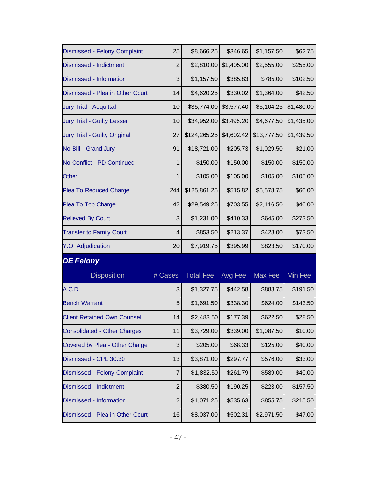| Dismissed - Felony Complaint        | 25             | \$8,666.25       | \$346.65   | \$1,157.50     | \$62.75    |
|-------------------------------------|----------------|------------------|------------|----------------|------------|
| <b>Dismissed - Indictment</b>       | $\overline{2}$ | \$2,810.00       | \$1,405.00 | \$2,555.00     | \$255.00   |
| Dismissed - Information             | 3              | \$1,157.50       | \$385.83   | \$785.00       | \$102.50   |
| Dismissed - Plea in Other Court     | 14             | \$4,620.25       | \$330.02   | \$1,364.00     | \$42.50    |
| <b>Jury Trial - Acquittal</b>       | 10             | \$35,774.00      | \$3,577.40 | \$5,104.25     | \$1,480.00 |
| <b>Jury Trial - Guilty Lesser</b>   | 10             | \$34,952.00      | \$3,495.20 | \$4,677.50     | \$1,435.00 |
| <b>Jury Trial - Guilty Original</b> | 27             | \$124,265.25     | \$4,602.42 | \$13,777.50    | \$1,439.50 |
| No Bill - Grand Jury                | 91             | \$18,721.00      | \$205.73   | \$1,029.50     | \$21.00    |
| No Conflict - PD Continued          | $\mathbf{1}$   | \$150.00         | \$150.00   | \$150.00       | \$150.00   |
| <b>Other</b>                        | $\mathbf{1}$   | \$105.00         | \$105.00   | \$105.00       | \$105.00   |
| <b>Plea To Reduced Charge</b>       | 244            | \$125,861.25     | \$515.82   | \$5,578.75     | \$60.00    |
| Plea To Top Charge                  | 42             | \$29,549.25      | \$703.55   | \$2,116.50     | \$40.00    |
| <b>Relieved By Court</b>            | 3              | \$1,231.00       | \$410.33   | \$645.00       | \$273.50   |
| <b>Transfer to Family Court</b>     | 4              | \$853.50         | \$213.37   | \$428.00       | \$73.50    |
| Y.O. Adjudication                   | 20             | \$7,919.75       | \$395.99   | \$823.50       | \$170.00   |
| <b>DE Felony</b>                    |                |                  |            |                |            |
| <b>Disposition</b>                  | # Cases        | <b>Total Fee</b> | Avg Fee    | <b>Max Fee</b> | Min Fee    |
| A.C.D.                              | 3              | \$1,327.75       | \$442.58   | \$888.75       | \$191.50   |
| <b>Bench Warrant</b>                | 5              | \$1,691.50       | \$338.30   | \$624.00       | \$143.50   |
| <b>Client Retained Own Counsel</b>  | 14             | \$2,483.50       | \$177.39   | \$622.50       | \$28.50    |
| <b>Consolidated - Other Charges</b> | 11             | \$3,729.00       | \$339.00   | \$1,087.50     | \$10.00    |
| Covered by Plea - Other Charge      | 3              | \$205.00         | \$68.33    | \$125.00       | \$40.00    |
| Dismissed - CPL 30.30               | 13             | \$3,871.00       | \$297.77   | \$576.00       | \$33.00    |
| Dismissed - Felony Complaint        | 7              | \$1,832.50       | \$261.79   | \$589.00       | \$40.00    |
| Dismissed - Indictment              | $\mathbf{2}$   | \$380.50         | \$190.25   | \$223.00       | \$157.50   |
| Dismissed - Information             | $\overline{2}$ | \$1,071.25       | \$535.63   | \$855.75       | \$215.50   |
|                                     |                |                  |            |                |            |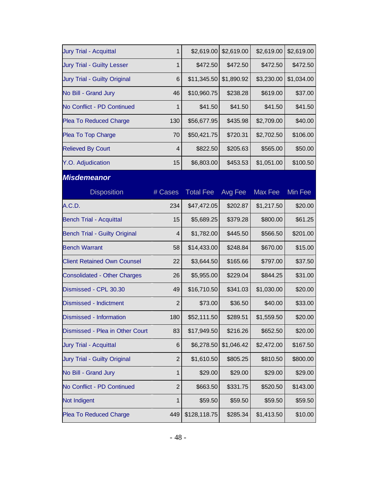| <b>Jury Trial - Acquittal</b>        | $\mathbf{1}$   | \$2,619.00       | \$2,619.00 | \$2,619.00     | \$2,619.00 |
|--------------------------------------|----------------|------------------|------------|----------------|------------|
| <b>Jury Trial - Guilty Lesser</b>    | $\mathbf{1}$   | \$472.50         | \$472.50   | \$472.50       | \$472.50   |
| Jury Trial - Guilty Original         | 6              | \$11,345.50      | \$1,890.92 | \$3,230.00     | \$1,034.00 |
| No Bill - Grand Jury                 | 46             | \$10,960.75      | \$238.28   | \$619.00       | \$37.00    |
| No Conflict - PD Continued           | $\mathbf{1}$   | \$41.50          | \$41.50    | \$41.50        | \$41.50    |
| <b>Plea To Reduced Charge</b>        | 130            | \$56,677.95      | \$435.98   | \$2,709.00     | \$40.00    |
| Plea To Top Charge                   | 70             | \$50,421.75      | \$720.31   | \$2,702.50     | \$106.00   |
| <b>Relieved By Court</b>             | 4              | \$822.50         | \$205.63   | \$565.00       | \$50.00    |
| Y.O. Adjudication                    | 15             | \$6,803.00       | \$453.53   | \$1,051.00     | \$100.50   |
| <b>Misdemeanor</b>                   |                |                  |            |                |            |
| <b>Disposition</b>                   | # Cases        | <b>Total Fee</b> | Avg Fee    | <b>Max Fee</b> | Min Fee    |
| A.C.D.                               | 234            | \$47,472.05      | \$202.87   | \$1,217.50     | \$20.00    |
| <b>Bench Trial - Acquittal</b>       | 15             | \$5,689.25       | \$379.28   | \$800.00       | \$61.25    |
| <b>Bench Trial - Guilty Original</b> | 4              | \$1,782.00       | \$445.50   | \$566.50       | \$201.00   |
| <b>Bench Warrant</b>                 | 58             | \$14,433.00      | \$248.84   | \$670.00       | \$15.00    |
| <b>Client Retained Own Counsel</b>   | 22             | \$3,644.50       | \$165.66   | \$797.00       | \$37.50    |
| <b>Consolidated - Other Charges</b>  | 26             | \$5,955.00       | \$229.04   | \$844.25       | \$31.00    |
| Dismissed - CPL 30.30                | 49             | \$16,710.50      | \$341.03   | \$1,030.00     | \$20.00    |
| Dismissed - Indictment               | $\overline{2}$ | \$73.00          | \$36.50    | \$40.00        | \$33.00    |
| Dismissed - Information              | 180            | \$52,111.50      | \$289.51   | \$1,559.50     | \$20.00    |
| Dismissed - Plea in Other Court      | 83             | \$17,949.50      | \$216.26   | \$652.50       | \$20.00    |
| <b>Jury Trial - Acquittal</b>        | 6              | \$6,278.50       | \$1,046.42 | \$2,472.00     | \$167.50   |
| <b>Jury Trial - Guilty Original</b>  | $\overline{2}$ | \$1,610.50       | \$805.25   | \$810.50       | \$800.00   |
| No Bill - Grand Jury                 | 1              | \$29.00          | \$29.00    | \$29.00        | \$29.00    |
| No Conflict - PD Continued           | $\mathbf{2}$   | \$663.50         | \$331.75   | \$520.50       | \$143.00   |
| Not Indigent                         | 1              | \$59.50          | \$59.50    | \$59.50        | \$59.50    |
| <b>Plea To Reduced Charge</b>        | 449            | \$128,118.75     | \$285.34   | \$1,413.50     | \$10.00    |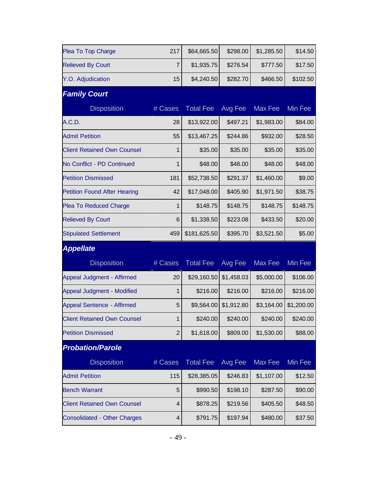| Plea To Top Charge                  | 217            | \$64,665.50      | \$298.00   | \$1,285.50 | \$14.50    |
|-------------------------------------|----------------|------------------|------------|------------|------------|
| <b>Relieved By Court</b>            | 7              | \$1,935.75       | \$276.54   | \$777.50   | \$17.50    |
| Y.O. Adjudication                   | 15             | \$4,240.50       | \$282.70   | \$466.50   | \$102.50   |
| <b>Family Court</b>                 |                |                  |            |            |            |
| <b>Disposition</b>                  | # Cases        | <b>Total Fee</b> | Avg Fee    | Max Fee    | Min Fee    |
| A.C.D.                              | 28             | \$13,922.00      | \$497.21   | \$1,983.00 | \$84.00    |
| <b>Admit Petition</b>               | 55             | \$13,467.25      | \$244.86   | \$932.00   | \$28.50    |
| <b>Client Retained Own Counsel</b>  | $\mathbf{1}$   | \$35.00          | \$35.00    | \$35.00    | \$35.00    |
| No Conflict - PD Continued          | $\mathbf{1}$   | \$48.00          | \$48.00    | \$48.00    | \$48.00    |
| <b>Petition Dismissed</b>           | 181            | \$52,738.50      | \$291.37   | \$1,460.00 | \$9.00     |
| <b>Petition Found After Hearing</b> | 42             | \$17,048.00      | \$405.90   | \$1,971.50 | \$38.75    |
| <b>Plea To Reduced Charge</b>       | $\mathbf{1}$   | \$148.75         | \$148.75   | \$148.75   | \$148.75   |
| <b>Relieved By Court</b>            | 6              | \$1,338.50       | \$223.08   | \$433.50   | \$20.00    |
| <b>Stipulated Settlement</b>        | 459            | \$181,625.50     | \$395.70   | \$3,521.50 | \$5.00     |
| <b>Appellate</b>                    |                |                  |            |            |            |
| <b>Disposition</b>                  | # Cases        | <b>Total Fee</b> | Avg Fee    | Max Fee    | Min Fee    |
| Appeal Judgment - Affirmed          | 20             | \$29,160.50      | \$1,458.03 | \$5,000.00 | \$106.00   |
| Appeal Judgment - Modified          | $\mathbf{1}$   | \$216.00         | \$216.00   | \$216.00   | \$216.00   |
| Appeal Sentence - Affirmed          | 5              | \$9,564.00       | \$1,912.80 | \$3,164.00 | \$1,200.00 |
| <b>Client Retained Own Counsel</b>  | $\mathbf 1$    | \$240.00         | \$240.00   | \$240.00   | \$240.00   |
| <b>Petition Dismissed</b>           | $\overline{2}$ | \$1,618.00       | \$809.00   | \$1,530.00 | \$88.00    |
| <b>Probation/Parole</b>             |                |                  |            |            |            |
| <b>Disposition</b>                  | # Cases        | <b>Total Fee</b> | Avg Fee    | Max Fee    | Min Fee    |
| <b>Admit Petition</b>               | 115            | \$28,385.05      | \$246.83   | \$1,107.00 | \$12.50    |
| <b>Bench Warrant</b>                | 5              | \$990.50         | \$198.10   | \$287.50   | \$90.00    |
| <b>Client Retained Own Counsel</b>  | $\overline{4}$ | \$878.25         | \$219.56   | \$405.50   | \$48.50    |
| <b>Consolidated - Other Charges</b> | 4              | \$791.75         | \$197.94   | \$480.00   | \$37.50    |